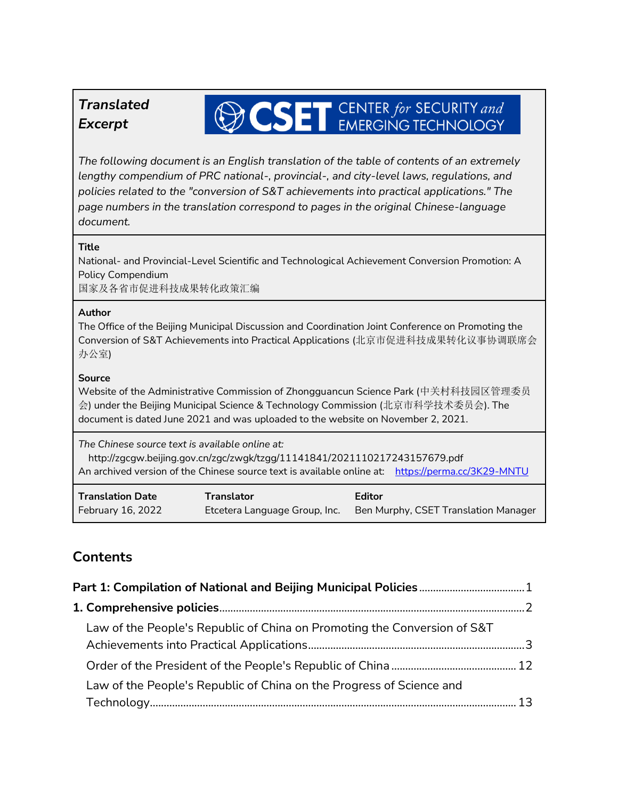## *Translated Excerpt*

# **OCSET** CENTER for SECURITY and

*The following document is an English translation of the table of contents of an extremely lengthy compendium of PRC national-, provincial-, and city-level laws, regulations, and policies related to the "conversion of S&T achievements into practical applications." The page numbers in the translation correspond to pages in the original Chinese-language document.* 

#### **Title**

National- and Provincial-Level Scientific and Technological Achievement Conversion Promotion: A Policy Compendium

国家及各省市促进科技成果转化政策汇编

#### **Author**

The Office of the Beijing Municipal Discussion and Coordination Joint Conference on Promoting the Conversion of S&T Achievements into Practical Applications (北京市促进科技成果转化议事协调联席会 办公室)

### **Source**

Website of the Administrative Commission of Zhongguancun Science Park (中关村科技园区管理委员 会) under the Beijing Municipal Science & Technology Commission (北京市科学技术委员会). The document is dated June 2021 and was uploaded to the website on November 2, 2021.

*The Chinese source text is available online at:*

 http://zgcgw.beijing.gov.cn/zgc/zwgk/tzgg/11141841/2021110217243157679.pdf An archived version of the Chinese source text is available online at: <https://perma.cc/3K29-MNTU>

| <b>Translation Date</b> | Translator                    | Editor                               |
|-------------------------|-------------------------------|--------------------------------------|
| February 16, 2022       | Etcetera Language Group, Inc. | Ben Murphy, CSET Translation Manager |

## **Contents**

| Law of the People's Republic of China on Promoting the Conversion of S&T |  |  |
|--------------------------------------------------------------------------|--|--|
|                                                                          |  |  |
| Law of the People's Republic of China on the Progress of Science and     |  |  |
|                                                                          |  |  |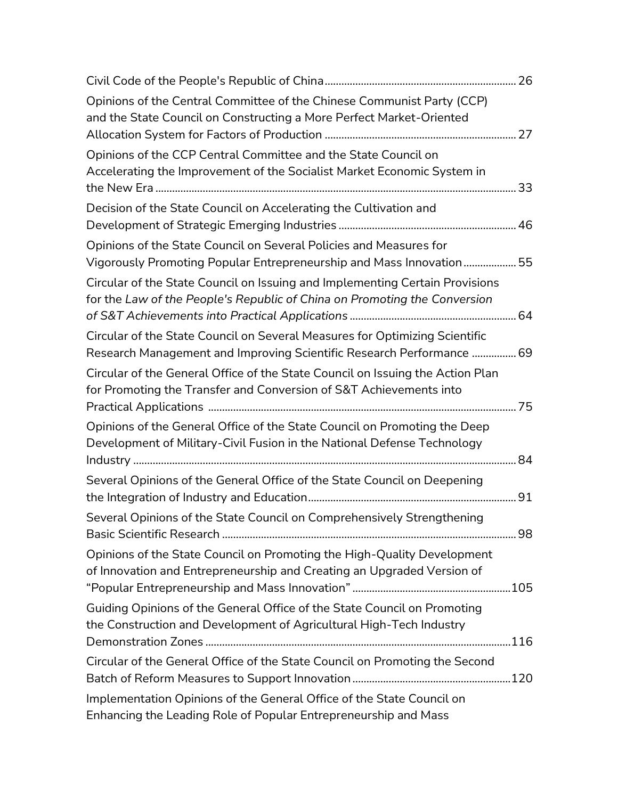| Opinions of the Central Committee of the Chinese Communist Party (CCP)<br>and the State Council on Constructing a More Perfect Market-Oriented            |  |
|-----------------------------------------------------------------------------------------------------------------------------------------------------------|--|
| Opinions of the CCP Central Committee and the State Council on<br>Accelerating the Improvement of the Socialist Market Economic System in                 |  |
|                                                                                                                                                           |  |
| Decision of the State Council on Accelerating the Cultivation and                                                                                         |  |
| Opinions of the State Council on Several Policies and Measures for<br>Vigorously Promoting Popular Entrepreneurship and Mass Innovation 55                |  |
| Circular of the State Council on Issuing and Implementing Certain Provisions<br>for the Law of the People's Republic of China on Promoting the Conversion |  |
| Circular of the State Council on Several Measures for Optimizing Scientific<br>Research Management and Improving Scientific Research Performance  69      |  |
| Circular of the General Office of the State Council on Issuing the Action Plan<br>for Promoting the Transfer and Conversion of S&T Achievements into      |  |
| Opinions of the General Office of the State Council on Promoting the Deep<br>Development of Military-Civil Fusion in the National Defense Technology      |  |
| Several Opinions of the General Office of the State Council on Deepening                                                                                  |  |
| Several Opinions of the State Council on Comprehensively Strengthening                                                                                    |  |
| Opinions of the State Council on Promoting the High-Quality Development<br>of Innovation and Entrepreneurship and Creating an Upgraded Version of         |  |
| Guiding Opinions of the General Office of the State Council on Promoting<br>the Construction and Development of Agricultural High-Tech Industry           |  |
| Circular of the General Office of the State Council on Promoting the Second                                                                               |  |
| Implementation Opinions of the General Office of the State Council on<br>Enhancing the Leading Role of Popular Entrepreneurship and Mass                  |  |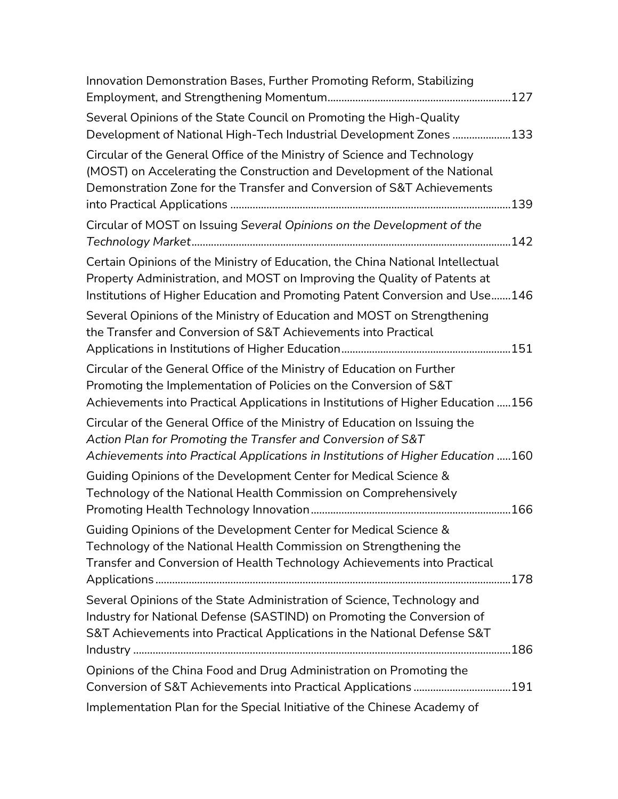| Innovation Demonstration Bases, Further Promoting Reform, Stabilizing                                                                                                                                                                     |
|-------------------------------------------------------------------------------------------------------------------------------------------------------------------------------------------------------------------------------------------|
|                                                                                                                                                                                                                                           |
| Several Opinions of the State Council on Promoting the High-Quality<br>Development of National High-Tech Industrial Development Zones 133                                                                                                 |
| Circular of the General Office of the Ministry of Science and Technology<br>(MOST) on Accelerating the Construction and Development of the National<br>Demonstration Zone for the Transfer and Conversion of S&T Achievements             |
| Circular of MOST on Issuing Several Opinions on the Development of the                                                                                                                                                                    |
| Certain Opinions of the Ministry of Education, the China National Intellectual<br>Property Administration, and MOST on Improving the Quality of Patents at<br>Institutions of Higher Education and Promoting Patent Conversion and Use146 |
| Several Opinions of the Ministry of Education and MOST on Strengthening<br>the Transfer and Conversion of S&T Achievements into Practical                                                                                                 |
| Circular of the General Office of the Ministry of Education on Further<br>Promoting the Implementation of Policies on the Conversion of S&T<br>Achievements into Practical Applications in Institutions of Higher Education 156           |
| Circular of the General Office of the Ministry of Education on Issuing the<br>Action Plan for Promoting the Transfer and Conversion of S&T<br>Achievements into Practical Applications in Institutions of Higher Education 160            |
| Guiding Opinions of the Development Center for Medical Science &<br>Technology of the National Health Commission on Comprehensively                                                                                                       |
| Guiding Opinions of the Development Center for Medical Science &<br>Technology of the National Health Commission on Strengthening the<br>Transfer and Conversion of Health Technology Achievements into Practical                         |
| Several Opinions of the State Administration of Science, Technology and<br>Industry for National Defense (SASTIND) on Promoting the Conversion of<br>S&T Achievements into Practical Applications in the National Defense S&T             |
| Opinions of the China Food and Drug Administration on Promoting the                                                                                                                                                                       |
| Implementation Plan for the Special Initiative of the Chinese Academy of                                                                                                                                                                  |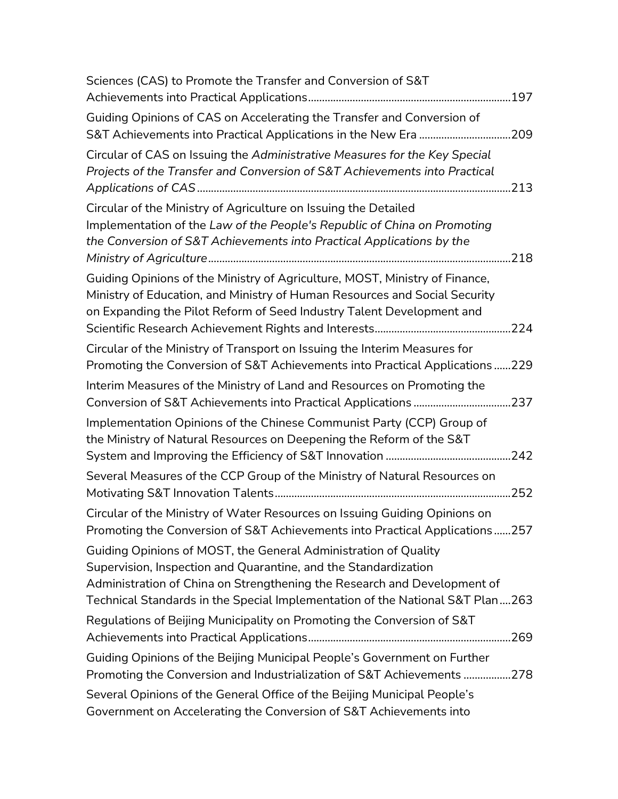| Sciences (CAS) to Promote the Transfer and Conversion of S&T                                                                                                                                                                                                                                    |  |
|-------------------------------------------------------------------------------------------------------------------------------------------------------------------------------------------------------------------------------------------------------------------------------------------------|--|
| Guiding Opinions of CAS on Accelerating the Transfer and Conversion of<br>S&T Achievements into Practical Applications in the New Era 209                                                                                                                                                       |  |
| Circular of CAS on Issuing the Administrative Measures for the Key Special<br>Projects of the Transfer and Conversion of S&T Achievements into Practical                                                                                                                                        |  |
| Circular of the Ministry of Agriculture on Issuing the Detailed<br>Implementation of the Law of the People's Republic of China on Promoting<br>the Conversion of S&T Achievements into Practical Applications by the                                                                            |  |
| Guiding Opinions of the Ministry of Agriculture, MOST, Ministry of Finance,<br>Ministry of Education, and Ministry of Human Resources and Social Security<br>on Expanding the Pilot Reform of Seed Industry Talent Development and                                                              |  |
| Circular of the Ministry of Transport on Issuing the Interim Measures for<br>Promoting the Conversion of S&T Achievements into Practical Applications 229                                                                                                                                       |  |
| Interim Measures of the Ministry of Land and Resources on Promoting the                                                                                                                                                                                                                         |  |
| Implementation Opinions of the Chinese Communist Party (CCP) Group of<br>the Ministry of Natural Resources on Deepening the Reform of the S&T                                                                                                                                                   |  |
| Several Measures of the CCP Group of the Ministry of Natural Resources on                                                                                                                                                                                                                       |  |
| Circular of the Ministry of Water Resources on Issuing Guiding Opinions on<br>Promoting the Conversion of S&T Achievements into Practical Applications257                                                                                                                                       |  |
| Guiding Opinions of MOST, the General Administration of Quality<br>Supervision, Inspection and Quarantine, and the Standardization<br>Administration of China on Strengthening the Research and Development of<br>Technical Standards in the Special Implementation of the National S&T Plan263 |  |
| Regulations of Beijing Municipality on Promoting the Conversion of S&T                                                                                                                                                                                                                          |  |
| Guiding Opinions of the Beijing Municipal People's Government on Further<br>Promoting the Conversion and Industrialization of S&T Achievements 278                                                                                                                                              |  |
| Several Opinions of the General Office of the Beijing Municipal People's<br>Government on Accelerating the Conversion of S&T Achievements into                                                                                                                                                  |  |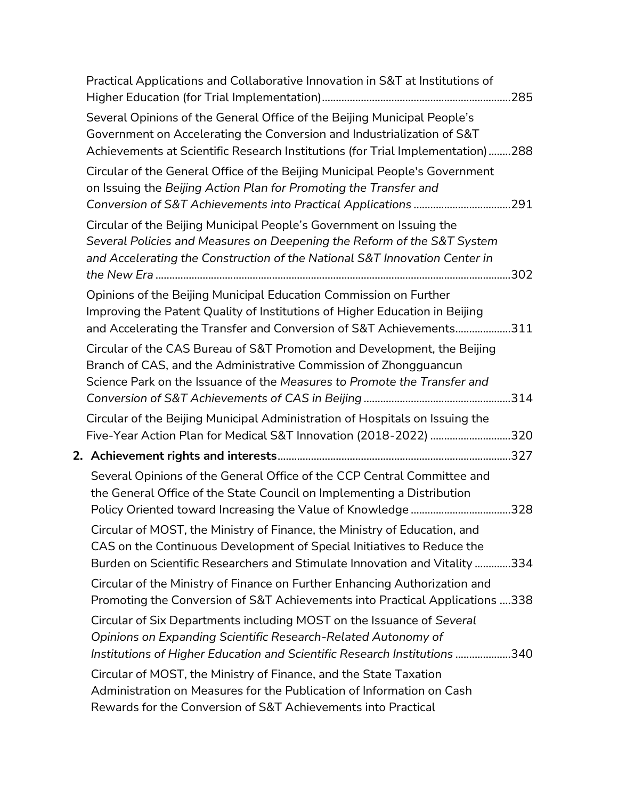| Practical Applications and Collaborative Innovation in S&T at Institutions of                                                                                                                                                     |  |
|-----------------------------------------------------------------------------------------------------------------------------------------------------------------------------------------------------------------------------------|--|
| Several Opinions of the General Office of the Beijing Municipal People's<br>Government on Accelerating the Conversion and Industrialization of S&T                                                                                |  |
| Achievements at Scientific Research Institutions (for Trial Implementation)288                                                                                                                                                    |  |
| Circular of the General Office of the Beijing Municipal People's Government<br>on Issuing the Beijing Action Plan for Promoting the Transfer and                                                                                  |  |
|                                                                                                                                                                                                                                   |  |
| Circular of the Beijing Municipal People's Government on Issuing the<br>Several Policies and Measures on Deepening the Reform of the S&T System<br>and Accelerating the Construction of the National S&T Innovation Center in     |  |
| Opinions of the Beijing Municipal Education Commission on Further<br>Improving the Patent Quality of Institutions of Higher Education in Beijing<br>and Accelerating the Transfer and Conversion of S&T Achievements311           |  |
| Circular of the CAS Bureau of S&T Promotion and Development, the Beijing<br>Branch of CAS, and the Administrative Commission of Zhongguancun<br>Science Park on the Issuance of the Measures to Promote the Transfer and          |  |
| Circular of the Beijing Municipal Administration of Hospitals on Issuing the<br>Five-Year Action Plan for Medical S&T Innovation (2018-2022) 320                                                                                  |  |
|                                                                                                                                                                                                                                   |  |
| Several Opinions of the General Office of the CCP Central Committee and<br>the General Office of the State Council on Implementing a Distribution                                                                                 |  |
| Circular of MOST, the Ministry of Finance, the Ministry of Education, and<br>CAS on the Continuous Development of Special Initiatives to Reduce the<br>Burden on Scientific Researchers and Stimulate Innovation and Vitality 334 |  |
| Circular of the Ministry of Finance on Further Enhancing Authorization and<br>Promoting the Conversion of S&T Achievements into Practical Applications 338                                                                        |  |
| Circular of Six Departments including MOST on the Issuance of Several<br>Opinions on Expanding Scientific Research-Related Autonomy of<br>Institutions of Higher Education and Scientific Research Institutions 340               |  |
| Circular of MOST, the Ministry of Finance, and the State Taxation<br>Administration on Measures for the Publication of Information on Cash<br>Rewards for the Conversion of S&T Achievements into Practical                       |  |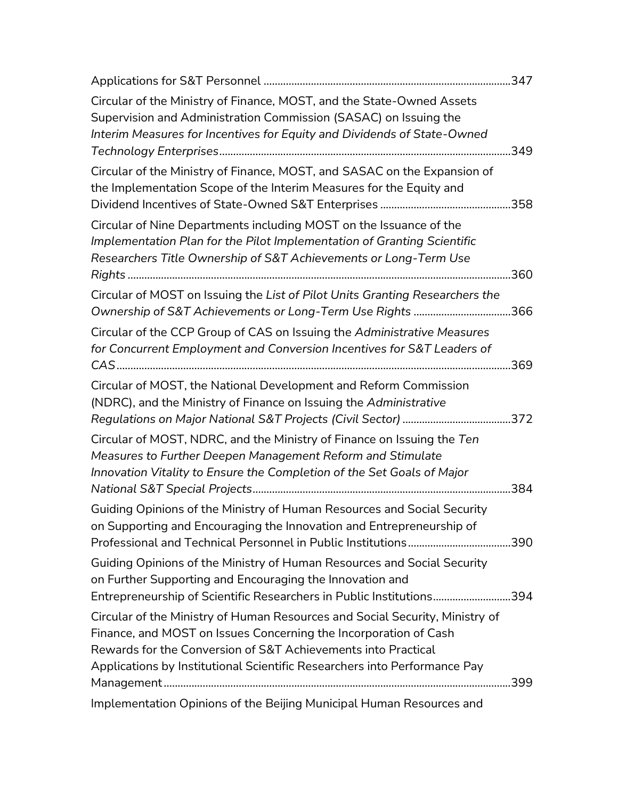| Circular of the Ministry of Finance, MOST, and the State-Owned Assets<br>Supervision and Administration Commission (SASAC) on Issuing the                                                                         |  |
|-------------------------------------------------------------------------------------------------------------------------------------------------------------------------------------------------------------------|--|
| Interim Measures for Incentives for Equity and Dividends of State-Owned                                                                                                                                           |  |
| Circular of the Ministry of Finance, MOST, and SASAC on the Expansion of<br>the Implementation Scope of the Interim Measures for the Equity and                                                                   |  |
| Circular of Nine Departments including MOST on the Issuance of the<br>Implementation Plan for the Pilot Implementation of Granting Scientific<br>Researchers Title Ownership of S&T Achievements or Long-Term Use |  |
| Circular of MOST on Issuing the List of Pilot Units Granting Researchers the<br>Ownership of S&T Achievements or Long-Term Use Rights 366                                                                         |  |
| Circular of the CCP Group of CAS on Issuing the Administrative Measures<br>for Concurrent Employment and Conversion Incentives for S&T Leaders of                                                                 |  |
| Circular of MOST, the National Development and Reform Commission<br>(NDRC), and the Ministry of Finance on Issuing the Administrative                                                                             |  |
| Circular of MOST, NDRC, and the Ministry of Finance on Issuing the Ten<br>Measures to Further Deepen Management Reform and Stimulate<br>Innovation Vitality to Ensure the Completion of the Set Goals of Major    |  |
| Guiding Opinions of the Ministry of Human Resources and Social Security<br>on Supporting and Encouraging the Innovation and Entrepreneurship of                                                                   |  |
| Guiding Opinions of the Ministry of Human Resources and Social Security<br>on Further Supporting and Encouraging the Innovation and<br>Entrepreneurship of Scientific Researchers in Public Institutions394       |  |
| Circular of the Ministry of Human Resources and Social Security, Ministry of<br>Finance, and MOST on Issues Concerning the Incorporation of Cash<br>Rewards for the Conversion of S&T Achievements into Practical |  |
| Applications by Institutional Scientific Researchers into Performance Pay                                                                                                                                         |  |
| Implementation Opinions of the Beijing Municipal Human Resources and                                                                                                                                              |  |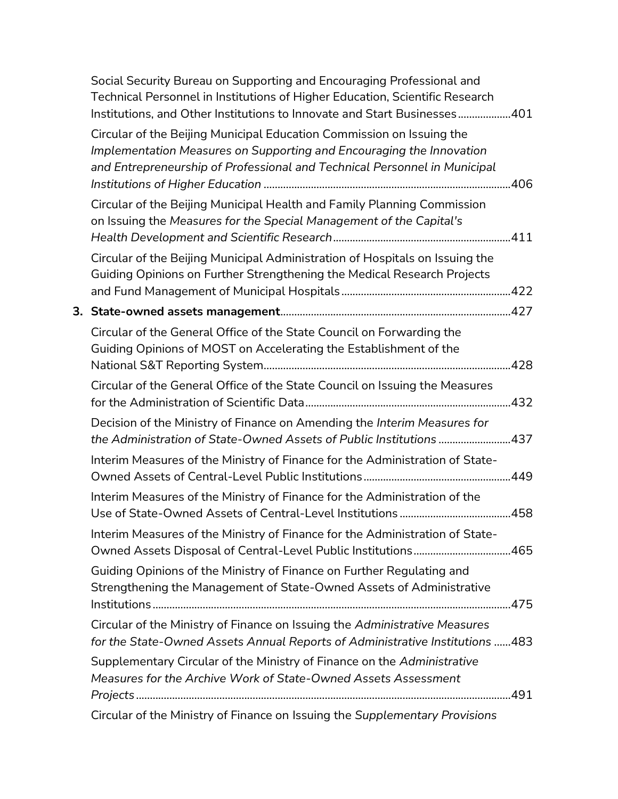| Social Security Bureau on Supporting and Encouraging Professional and<br>Technical Personnel in Institutions of Higher Education, Scientific Research<br>Institutions, and Other Institutions to Innovate and Start Businesses401 |  |
|-----------------------------------------------------------------------------------------------------------------------------------------------------------------------------------------------------------------------------------|--|
| Circular of the Beijing Municipal Education Commission on Issuing the<br>Implementation Measures on Supporting and Encouraging the Innovation<br>and Entrepreneurship of Professional and Technical Personnel in Municipal        |  |
| Circular of the Beijing Municipal Health and Family Planning Commission<br>on Issuing the Measures for the Special Management of the Capital's                                                                                    |  |
| Circular of the Beijing Municipal Administration of Hospitals on Issuing the<br>Guiding Opinions on Further Strengthening the Medical Research Projects                                                                           |  |
|                                                                                                                                                                                                                                   |  |
| Circular of the General Office of the State Council on Forwarding the<br>Guiding Opinions of MOST on Accelerating the Establishment of the                                                                                        |  |
|                                                                                                                                                                                                                                   |  |
| Circular of the General Office of the State Council on Issuing the Measures                                                                                                                                                       |  |
| Decision of the Ministry of Finance on Amending the Interim Measures for<br>the Administration of State-Owned Assets of Public Institutions 437                                                                                   |  |
| Interim Measures of the Ministry of Finance for the Administration of State-                                                                                                                                                      |  |
| Interim Measures of the Ministry of Finance for the Administration of the                                                                                                                                                         |  |
| Interim Measures of the Ministry of Finance for the Administration of State-<br>Owned Assets Disposal of Central-Level Public Institutions465                                                                                     |  |
| Guiding Opinions of the Ministry of Finance on Further Regulating and<br>Strengthening the Management of State-Owned Assets of Administrative                                                                                     |  |
| Circular of the Ministry of Finance on Issuing the Administrative Measures<br>for the State-Owned Assets Annual Reports of Administrative Institutions  483                                                                       |  |
| Supplementary Circular of the Ministry of Finance on the Administrative<br>Measures for the Archive Work of State-Owned Assets Assessment                                                                                         |  |
| Circular of the Ministry of Finance on Issuing the Supplementary Provisions                                                                                                                                                       |  |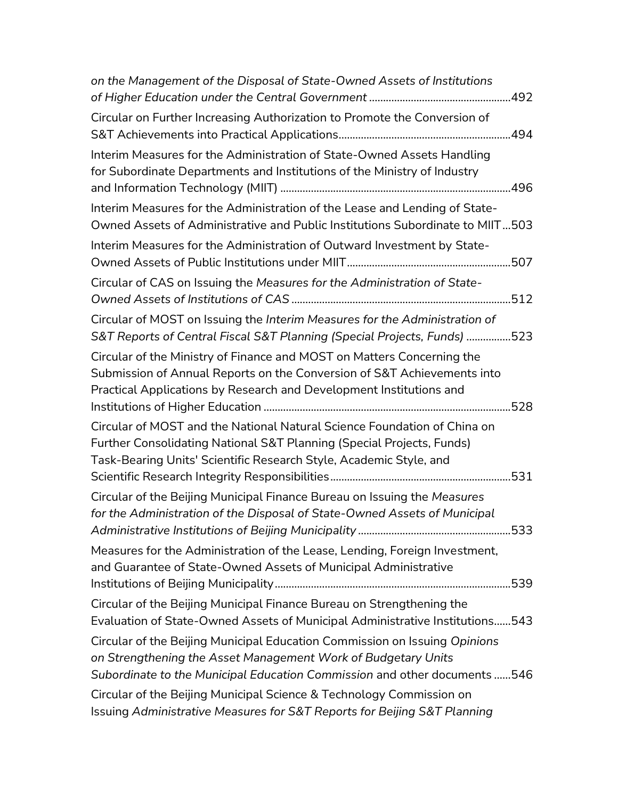| on the Management of the Disposal of State-Owned Assets of Institutions                                                                                                                                                  |
|--------------------------------------------------------------------------------------------------------------------------------------------------------------------------------------------------------------------------|
| Circular on Further Increasing Authorization to Promote the Conversion of                                                                                                                                                |
| Interim Measures for the Administration of State-Owned Assets Handling<br>for Subordinate Departments and Institutions of the Ministry of Industry                                                                       |
| Interim Measures for the Administration of the Lease and Lending of State-<br>Owned Assets of Administrative and Public Institutions Subordinate to MIIT503                                                              |
| Interim Measures for the Administration of Outward Investment by State-                                                                                                                                                  |
| Circular of CAS on Issuing the Measures for the Administration of State-                                                                                                                                                 |
| Circular of MOST on Issuing the Interim Measures for the Administration of<br>S&T Reports of Central Fiscal S&T Planning (Special Projects, Funds) 523                                                                   |
| Circular of the Ministry of Finance and MOST on Matters Concerning the<br>Submission of Annual Reports on the Conversion of S&T Achievements into<br>Practical Applications by Research and Development Institutions and |
| Circular of MOST and the National Natural Science Foundation of China on<br>Further Consolidating National S&T Planning (Special Projects, Funds)<br>Task-Bearing Units' Scientific Research Style, Academic Style, and  |
| Circular of the Beijing Municipal Finance Bureau on Issuing the Measures<br>for the Administration of the Disposal of State-Owned Assets of Municipal                                                                    |
| Measures for the Administration of the Lease, Lending, Foreign Investment,<br>and Guarantee of State-Owned Assets of Municipal Administrative                                                                            |
| Circular of the Beijing Municipal Finance Bureau on Strengthening the<br>Evaluation of State-Owned Assets of Municipal Administrative Institutions543                                                                    |
| Circular of the Beijing Municipal Education Commission on Issuing Opinions<br>on Strengthening the Asset Management Work of Budgetary Units<br>Subordinate to the Municipal Education Commission and other documents 546 |
| Circular of the Beijing Municipal Science & Technology Commission on<br>Issuing Administrative Measures for S&T Reports for Beijing S&T Planning                                                                         |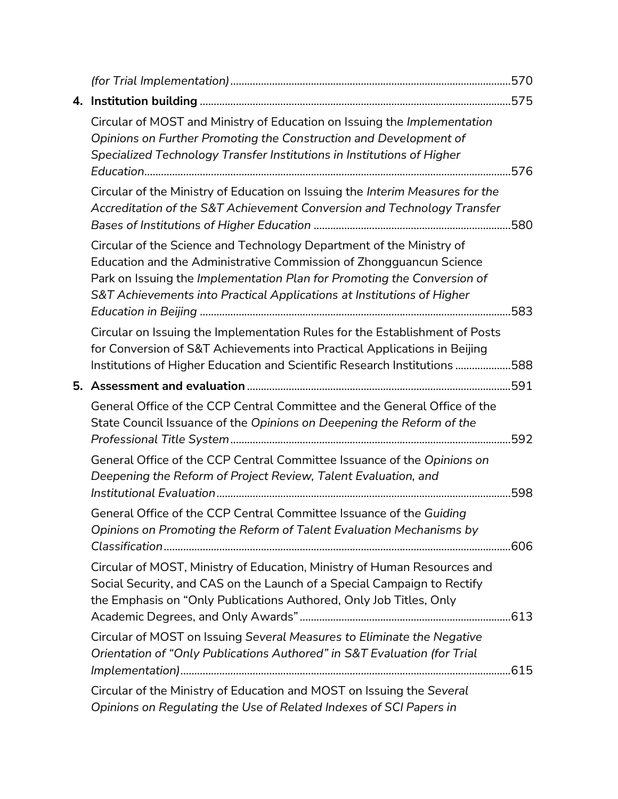| 4. |                                                                                                                                                                                                                                                                                                  |  |
|----|--------------------------------------------------------------------------------------------------------------------------------------------------------------------------------------------------------------------------------------------------------------------------------------------------|--|
|    | Circular of MOST and Ministry of Education on Issuing the Implementation<br>Opinions on Further Promoting the Construction and Development of<br>Specialized Technology Transfer Institutions in Institutions of Higher                                                                          |  |
|    | Circular of the Ministry of Education on Issuing the Interim Measures for the<br>Accreditation of the S&T Achievement Conversion and Technology Transfer                                                                                                                                         |  |
|    | Circular of the Science and Technology Department of the Ministry of<br>Education and the Administrative Commission of Zhongguancun Science<br>Park on Issuing the Implementation Plan for Promoting the Conversion of<br>S&T Achievements into Practical Applications at Institutions of Higher |  |
|    | Circular on Issuing the Implementation Rules for the Establishment of Posts<br>for Conversion of S&T Achievements into Practical Applications in Beijing<br>Institutions of Higher Education and Scientific Research Institutions 588                                                            |  |
|    |                                                                                                                                                                                                                                                                                                  |  |
|    | General Office of the CCP Central Committee and the General Office of the<br>State Council Issuance of the Opinions on Deepening the Reform of the                                                                                                                                               |  |
|    | General Office of the CCP Central Committee Issuance of the Opinions on<br>Deepening the Reform of Project Review, Talent Evaluation, and                                                                                                                                                        |  |
|    | General Office of the CCP Central Committee Issuance of the Guiding<br>Opinions on Promoting the Reform of Talent Evaluation Mechanisms by                                                                                                                                                       |  |
|    | Circular of MOST, Ministry of Education, Ministry of Human Resources and<br>Social Security, and CAS on the Launch of a Special Campaign to Rectify<br>the Emphasis on "Only Publications Authored, Only Job Titles, Only                                                                        |  |
|    | Circular of MOST on Issuing Several Measures to Eliminate the Negative<br>Orientation of "Only Publications Authored" in S&T Evaluation (for Trial                                                                                                                                               |  |
|    | Circular of the Ministry of Education and MOST on Issuing the Several<br>Opinions on Regulating the Use of Related Indexes of SCI Papers in                                                                                                                                                      |  |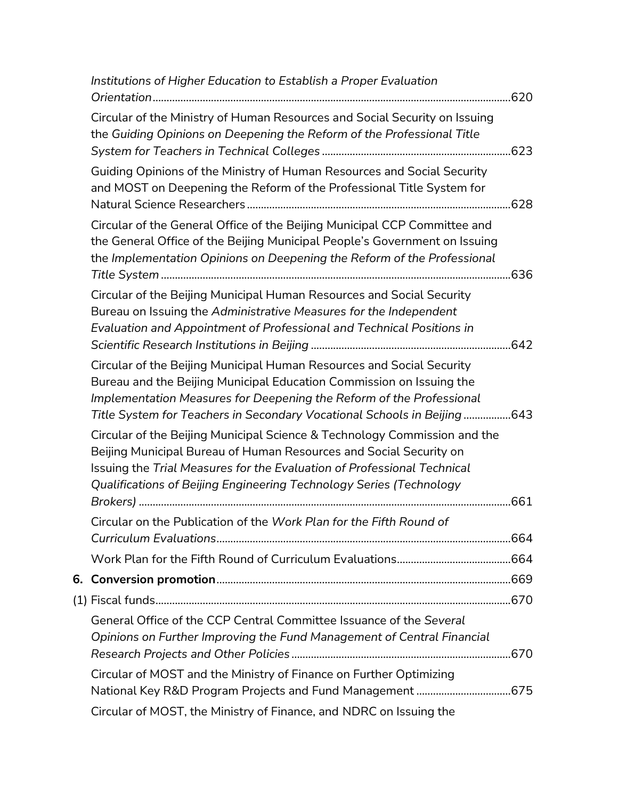| Institutions of Higher Education to Establish a Proper Evaluation                                                                                                                                                                                                                                 |  |
|---------------------------------------------------------------------------------------------------------------------------------------------------------------------------------------------------------------------------------------------------------------------------------------------------|--|
| Circular of the Ministry of Human Resources and Social Security on Issuing<br>the Guiding Opinions on Deepening the Reform of the Professional Title                                                                                                                                              |  |
| Guiding Opinions of the Ministry of Human Resources and Social Security<br>and MOST on Deepening the Reform of the Professional Title System for                                                                                                                                                  |  |
| Circular of the General Office of the Beijing Municipal CCP Committee and<br>the General Office of the Beijing Municipal People's Government on Issuing<br>the Implementation Opinions on Deepening the Reform of the Professional                                                                |  |
| Circular of the Beijing Municipal Human Resources and Social Security<br>Bureau on Issuing the Administrative Measures for the Independent<br>Evaluation and Appointment of Professional and Technical Positions in                                                                               |  |
| Circular of the Beijing Municipal Human Resources and Social Security<br>Bureau and the Beijing Municipal Education Commission on Issuing the<br>Implementation Measures for Deepening the Reform of the Professional<br>Title System for Teachers in Secondary Vocational Schools in Beijing643  |  |
| Circular of the Beijing Municipal Science & Technology Commission and the<br>Beijing Municipal Bureau of Human Resources and Social Security on<br>Issuing the Trial Measures for the Evaluation of Professional Technical<br>Qualifications of Beijing Engineering Technology Series (Technology |  |
|                                                                                                                                                                                                                                                                                                   |  |
| Circular on the Publication of the Work Plan for the Fifth Round of                                                                                                                                                                                                                               |  |
|                                                                                                                                                                                                                                                                                                   |  |
|                                                                                                                                                                                                                                                                                                   |  |
|                                                                                                                                                                                                                                                                                                   |  |
| General Office of the CCP Central Committee Issuance of the Several<br>Opinions on Further Improving the Fund Management of Central Financial                                                                                                                                                     |  |
| Circular of MOST and the Ministry of Finance on Further Optimizing                                                                                                                                                                                                                                |  |
| Circular of MOST, the Ministry of Finance, and NDRC on Issuing the                                                                                                                                                                                                                                |  |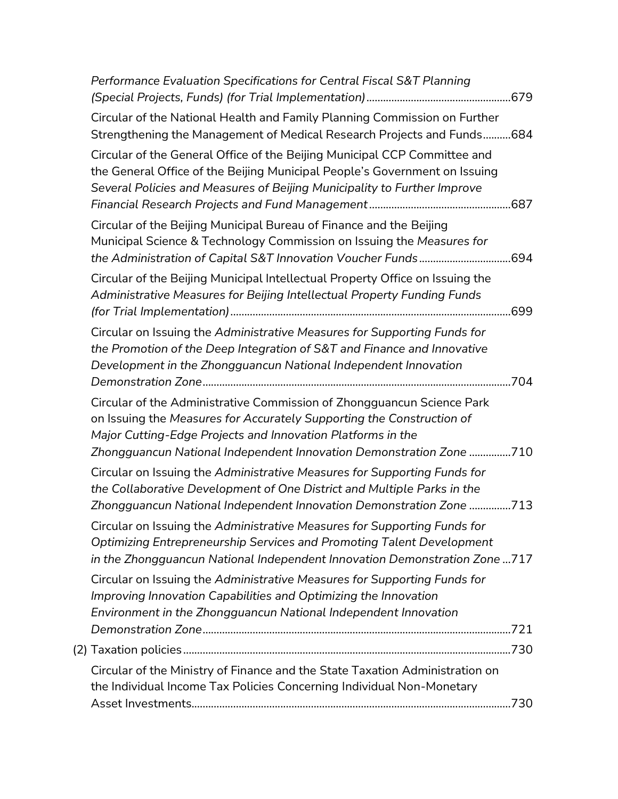| Performance Evaluation Specifications for Central Fiscal S&T Planning                                                                                                                                                                                                                 |
|---------------------------------------------------------------------------------------------------------------------------------------------------------------------------------------------------------------------------------------------------------------------------------------|
| Circular of the National Health and Family Planning Commission on Further<br>Strengthening the Management of Medical Research Projects and Funds684                                                                                                                                   |
| Circular of the General Office of the Beijing Municipal CCP Committee and<br>the General Office of the Beijing Municipal People's Government on Issuing<br>Several Policies and Measures of Beijing Municipality to Further Improve                                                   |
| Circular of the Beijing Municipal Bureau of Finance and the Beijing<br>Municipal Science & Technology Commission on Issuing the Measures for<br>the Administration of Capital S&T Innovation Voucher Funds694                                                                         |
| Circular of the Beijing Municipal Intellectual Property Office on Issuing the<br>Administrative Measures for Beijing Intellectual Property Funding Funds                                                                                                                              |
| Circular on Issuing the Administrative Measures for Supporting Funds for<br>the Promotion of the Deep Integration of S&T and Finance and Innovative<br>Development in the Zhongguancun National Independent Innovation                                                                |
| Circular of the Administrative Commission of Zhongguancun Science Park<br>on Issuing the Measures for Accurately Supporting the Construction of<br>Major Cutting-Edge Projects and Innovation Platforms in the<br>Zhongguancun National Independent Innovation Demonstration Zone 710 |
| Circular on Issuing the Administrative Measures for Supporting Funds for<br>the Collaborative Development of One District and Multiple Parks in the<br>Zhongguancun National Independent Innovation Demonstration Zone 713                                                            |
| Circular on Issuing the Administrative Measures for Supporting Funds for<br>Optimizing Entrepreneurship Services and Promoting Talent Development<br>in the Zhongguancun National Independent Innovation Demonstration Zone 717                                                       |
| Circular on Issuing the Administrative Measures for Supporting Funds for<br>Improving Innovation Capabilities and Optimizing the Innovation<br>Environment in the Zhongguancun National Independent Innovation                                                                        |
|                                                                                                                                                                                                                                                                                       |
| Circular of the Ministry of Finance and the State Taxation Administration on<br>the Individual Income Tax Policies Concerning Individual Non-Monetary                                                                                                                                 |
|                                                                                                                                                                                                                                                                                       |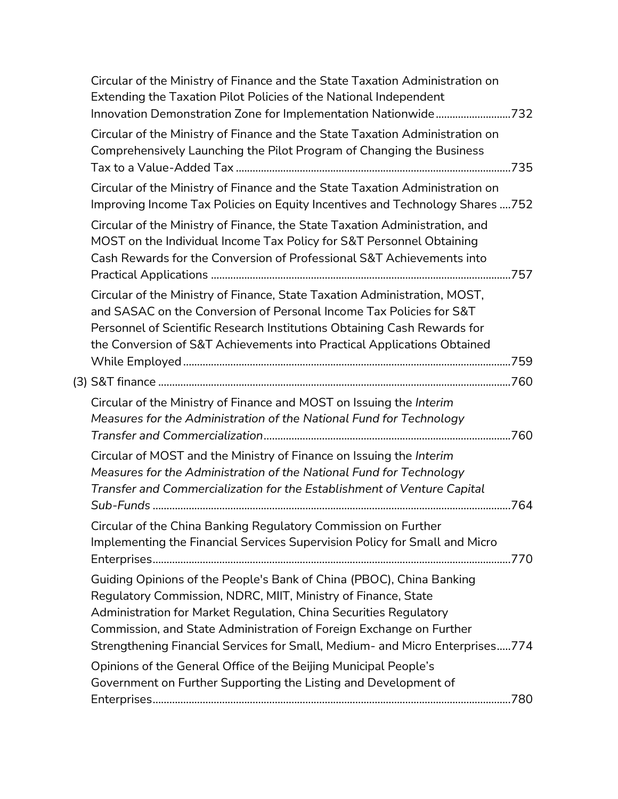| Circular of the Ministry of Finance and the State Taxation Administration on<br>Extending the Taxation Pilot Policies of the National Independent                                                                                                                                                       |  |
|---------------------------------------------------------------------------------------------------------------------------------------------------------------------------------------------------------------------------------------------------------------------------------------------------------|--|
| Innovation Demonstration Zone for Implementation Nationwide732                                                                                                                                                                                                                                          |  |
| Circular of the Ministry of Finance and the State Taxation Administration on<br>Comprehensively Launching the Pilot Program of Changing the Business                                                                                                                                                    |  |
|                                                                                                                                                                                                                                                                                                         |  |
| Circular of the Ministry of Finance and the State Taxation Administration on                                                                                                                                                                                                                            |  |
| Improving Income Tax Policies on Equity Incentives and Technology Shares 752                                                                                                                                                                                                                            |  |
| Circular of the Ministry of Finance, the State Taxation Administration, and<br>MOST on the Individual Income Tax Policy for S&T Personnel Obtaining<br>Cash Rewards for the Conversion of Professional S&T Achievements into                                                                            |  |
|                                                                                                                                                                                                                                                                                                         |  |
| Circular of the Ministry of Finance, State Taxation Administration, MOST,<br>and SASAC on the Conversion of Personal Income Tax Policies for S&T<br>Personnel of Scientific Research Institutions Obtaining Cash Rewards for<br>the Conversion of S&T Achievements into Practical Applications Obtained |  |
|                                                                                                                                                                                                                                                                                                         |  |
|                                                                                                                                                                                                                                                                                                         |  |
| Circular of the Ministry of Finance and MOST on Issuing the Interim<br>Measures for the Administration of the National Fund for Technology                                                                                                                                                              |  |
| Circular of MOST and the Ministry of Finance on Issuing the Interim                                                                                                                                                                                                                                     |  |
| Measures for the Administration of the National Fund for Technology                                                                                                                                                                                                                                     |  |
| Transfer and Commercialization for the Establishment of Venture Capital                                                                                                                                                                                                                                 |  |
| Circular of the China Banking Regulatory Commission on Further                                                                                                                                                                                                                                          |  |
| Implementing the Financial Services Supervision Policy for Small and Micro                                                                                                                                                                                                                              |  |
| Guiding Opinions of the People's Bank of China (PBOC), China Banking<br>Regulatory Commission, NDRC, MIIT, Ministry of Finance, State                                                                                                                                                                   |  |
| Administration for Market Regulation, China Securities Regulatory<br>Commission, and State Administration of Foreign Exchange on Further<br>Strengthening Financial Services for Small, Medium- and Micro Enterprises774                                                                                |  |
| Opinions of the General Office of the Beijing Municipal People's<br>Government on Further Supporting the Listing and Development of                                                                                                                                                                     |  |
|                                                                                                                                                                                                                                                                                                         |  |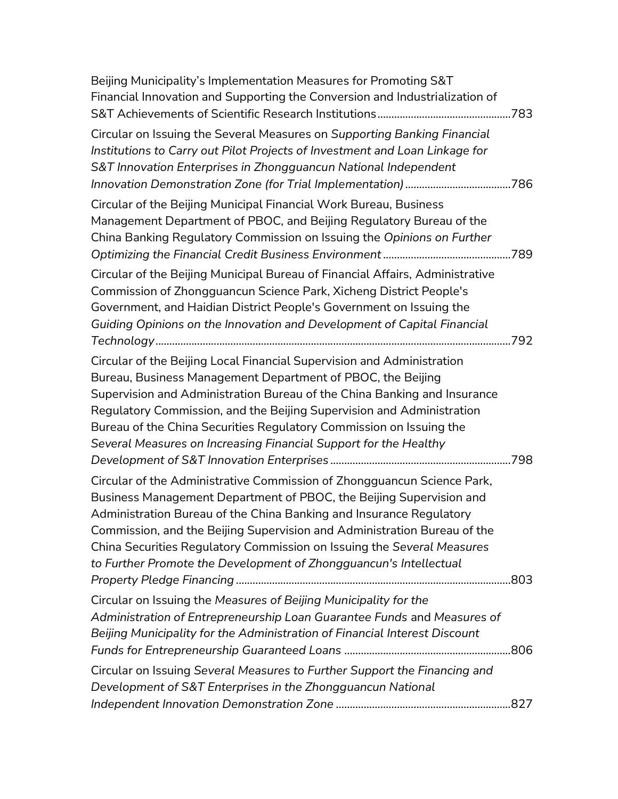| Beijing Municipality's Implementation Measures for Promoting S&T<br>Financial Innovation and Supporting the Conversion and Industrialization of                                                                                                                                                                                                                                                                                                  |  |
|--------------------------------------------------------------------------------------------------------------------------------------------------------------------------------------------------------------------------------------------------------------------------------------------------------------------------------------------------------------------------------------------------------------------------------------------------|--|
| Circular on Issuing the Several Measures on Supporting Banking Financial<br>Institutions to Carry out Pilot Projects of Investment and Loan Linkage for<br>S&T Innovation Enterprises in Zhongguancun National Independent                                                                                                                                                                                                                       |  |
| Circular of the Beijing Municipal Financial Work Bureau, Business<br>Management Department of PBOC, and Beijing Regulatory Bureau of the<br>China Banking Regulatory Commission on Issuing the Opinions on Further                                                                                                                                                                                                                               |  |
| Circular of the Beijing Municipal Bureau of Financial Affairs, Administrative<br>Commission of Zhongguancun Science Park, Xicheng District People's<br>Government, and Haidian District People's Government on Issuing the<br>Guiding Opinions on the Innovation and Development of Capital Financial                                                                                                                                            |  |
| Circular of the Beijing Local Financial Supervision and Administration<br>Bureau, Business Management Department of PBOC, the Beijing<br>Supervision and Administration Bureau of the China Banking and Insurance<br>Regulatory Commission, and the Beijing Supervision and Administration<br>Bureau of the China Securities Regulatory Commission on Issuing the<br>Several Measures on Increasing Financial Support for the Healthy            |  |
| Circular of the Administrative Commission of Zhongguancun Science Park,<br>Business Management Department of PBOC, the Beijing Supervision and<br>Administration Bureau of the China Banking and Insurance Regulatory<br>Commission, and the Beijing Supervision and Administration Bureau of the<br>China Securities Regulatory Commission on Issuing the Several Measures<br>to Further Promote the Development of Zhongguancun's Intellectual |  |
| Circular on Issuing the Measures of Beijing Municipality for the<br>Administration of Entrepreneurship Loan Guarantee Funds and Measures of<br>Beijing Municipality for the Administration of Financial Interest Discount                                                                                                                                                                                                                        |  |
| Circular on Issuing Several Measures to Further Support the Financing and<br>Development of S&T Enterprises in the Zhongguancun National                                                                                                                                                                                                                                                                                                         |  |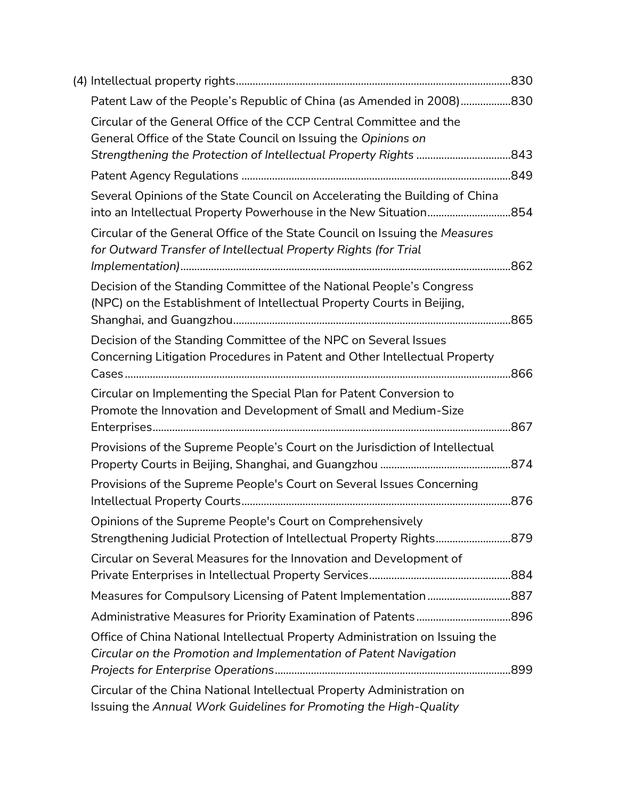| Patent Law of the People's Republic of China (as Amended in 2008)830                                                                              |  |
|---------------------------------------------------------------------------------------------------------------------------------------------------|--|
| Circular of the General Office of the CCP Central Committee and the<br>General Office of the State Council on Issuing the Opinions on             |  |
|                                                                                                                                                   |  |
|                                                                                                                                                   |  |
| Several Opinions of the State Council on Accelerating the Building of China                                                                       |  |
| Circular of the General Office of the State Council on Issuing the Measures<br>for Outward Transfer of Intellectual Property Rights (for Trial    |  |
|                                                                                                                                                   |  |
| Decision of the Standing Committee of the National People's Congress<br>(NPC) on the Establishment of Intellectual Property Courts in Beijing,    |  |
| Decision of the Standing Committee of the NPC on Several Issues<br>Concerning Litigation Procedures in Patent and Other Intellectual Property     |  |
| Circular on Implementing the Special Plan for Patent Conversion to                                                                                |  |
| Promote the Innovation and Development of Small and Medium-Size                                                                                   |  |
| Provisions of the Supreme People's Court on the Jurisdiction of Intellectual                                                                      |  |
|                                                                                                                                                   |  |
| Provisions of the Supreme People's Court on Several Issues Concerning                                                                             |  |
| Opinions of the Supreme People's Court on Comprehensively                                                                                         |  |
| Strengthening Judicial Protection of Intellectual Property Rights879                                                                              |  |
| Circular on Several Measures for the Innovation and Development of                                                                                |  |
|                                                                                                                                                   |  |
|                                                                                                                                                   |  |
| Office of China National Intellectual Property Administration on Issuing the<br>Circular on the Promotion and Implementation of Patent Navigation |  |
|                                                                                                                                                   |  |
| Circular of the China National Intellectual Property Administration on<br>Issuing the Annual Work Guidelines for Promoting the High-Quality       |  |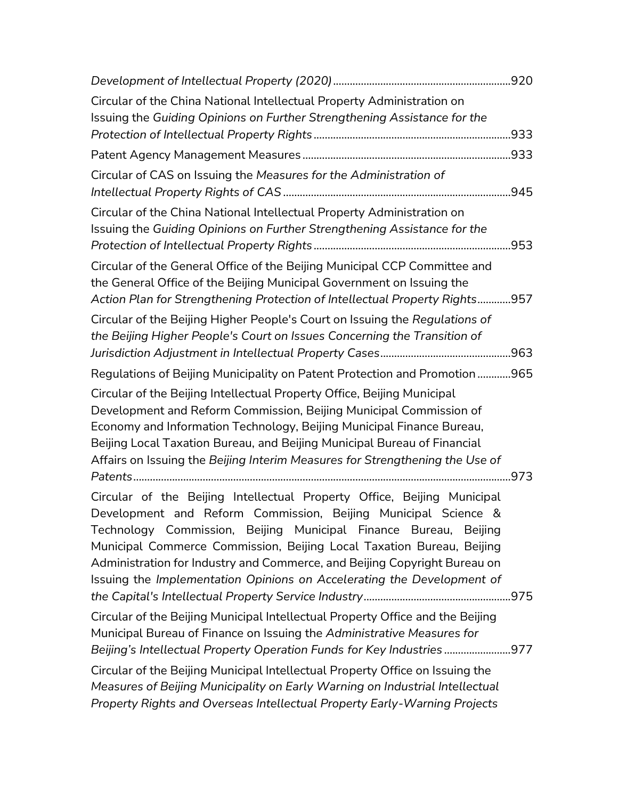| Circular of the China National Intellectual Property Administration on<br>Issuing the Guiding Opinions on Further Strengthening Assistance for the                                                                                                                                                                                                                                                                                            |  |
|-----------------------------------------------------------------------------------------------------------------------------------------------------------------------------------------------------------------------------------------------------------------------------------------------------------------------------------------------------------------------------------------------------------------------------------------------|--|
|                                                                                                                                                                                                                                                                                                                                                                                                                                               |  |
|                                                                                                                                                                                                                                                                                                                                                                                                                                               |  |
| Circular of CAS on Issuing the Measures for the Administration of                                                                                                                                                                                                                                                                                                                                                                             |  |
| Circular of the China National Intellectual Property Administration on<br>Issuing the Guiding Opinions on Further Strengthening Assistance for the                                                                                                                                                                                                                                                                                            |  |
| Circular of the General Office of the Beijing Municipal CCP Committee and<br>the General Office of the Beijing Municipal Government on Issuing the<br>Action Plan for Strengthening Protection of Intellectual Property Rights957                                                                                                                                                                                                             |  |
| Circular of the Beijing Higher People's Court on Issuing the Regulations of<br>the Beijing Higher People's Court on Issues Concerning the Transition of                                                                                                                                                                                                                                                                                       |  |
| Regulations of Beijing Municipality on Patent Protection and Promotion 965                                                                                                                                                                                                                                                                                                                                                                    |  |
| Circular of the Beijing Intellectual Property Office, Beijing Municipal<br>Development and Reform Commission, Beijing Municipal Commission of<br>Economy and Information Technology, Beijing Municipal Finance Bureau,<br>Beijing Local Taxation Bureau, and Beijing Municipal Bureau of Financial<br>Affairs on Issuing the Beijing Interim Measures for Strengthening the Use of                                                            |  |
| Circular of the Beijing Intellectual Property Office, Beijing Municipal<br>Development and Reform Commission, Beijing Municipal Science &<br>Technology Commission, Beijing Municipal Finance Bureau, Beijing<br>Municipal Commerce Commission, Beijing Local Taxation Bureau, Beijing<br>Administration for Industry and Commerce, and Beijing Copyright Bureau on<br>Issuing the Implementation Opinions on Accelerating the Development of |  |
| Circular of the Beijing Municipal Intellectual Property Office and the Beijing<br>Municipal Bureau of Finance on Issuing the Administrative Measures for<br>Beijing's Intellectual Property Operation Funds for Key Industries                                                                                                                                                                                                                |  |
| Circular of the Beijing Municipal Intellectual Property Office on Issuing the<br>Measures of Beijing Municipality on Early Warning on Industrial Intellectual<br>Property Rights and Overseas Intellectual Property Early-Warning Projects                                                                                                                                                                                                    |  |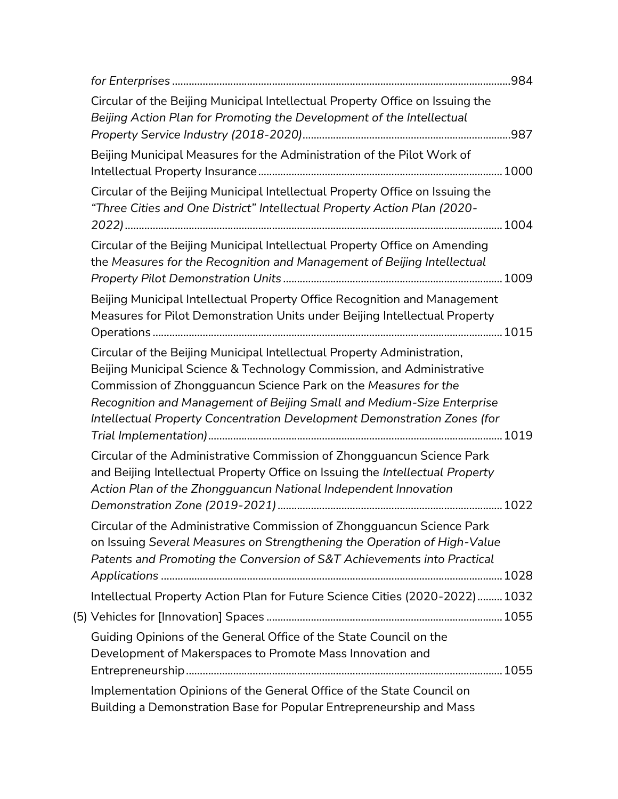| Circular of the Beijing Municipal Intellectual Property Office on Issuing the<br>Beijing Action Plan for Promoting the Development of the Intellectual                                                                                                                                                                                                                    |  |
|---------------------------------------------------------------------------------------------------------------------------------------------------------------------------------------------------------------------------------------------------------------------------------------------------------------------------------------------------------------------------|--|
| Beijing Municipal Measures for the Administration of the Pilot Work of                                                                                                                                                                                                                                                                                                    |  |
| Circular of the Beijing Municipal Intellectual Property Office on Issuing the<br>"Three Cities and One District" Intellectual Property Action Plan (2020-                                                                                                                                                                                                                 |  |
| Circular of the Beijing Municipal Intellectual Property Office on Amending<br>the Measures for the Recognition and Management of Beijing Intellectual                                                                                                                                                                                                                     |  |
| Beijing Municipal Intellectual Property Office Recognition and Management<br>Measures for Pilot Demonstration Units under Beijing Intellectual Property                                                                                                                                                                                                                   |  |
| Circular of the Beijing Municipal Intellectual Property Administration,<br>Beijing Municipal Science & Technology Commission, and Administrative<br>Commission of Zhongguancun Science Park on the Measures for the<br>Recognition and Management of Beijing Small and Medium-Size Enterprise<br>Intellectual Property Concentration Development Demonstration Zones (for |  |
| Circular of the Administrative Commission of Zhongguancun Science Park<br>and Beijing Intellectual Property Office on Issuing the Intellectual Property<br>Action Plan of the Zhongguancun National Independent Innovation                                                                                                                                                |  |
| Circular of the Administrative Commission of Zhongguancun Science Park<br>on Issuing Several Measures on Strengthening the Operation of High-Value<br>Patents and Promoting the Conversion of S&T Achievements into Practical                                                                                                                                             |  |
| Intellectual Property Action Plan for Future Science Cities (2020-2022)  1032                                                                                                                                                                                                                                                                                             |  |
|                                                                                                                                                                                                                                                                                                                                                                           |  |
| Guiding Opinions of the General Office of the State Council on the<br>Development of Makerspaces to Promote Mass Innovation and                                                                                                                                                                                                                                           |  |
| Implementation Opinions of the General Office of the State Council on<br>Building a Demonstration Base for Popular Entrepreneurship and Mass                                                                                                                                                                                                                              |  |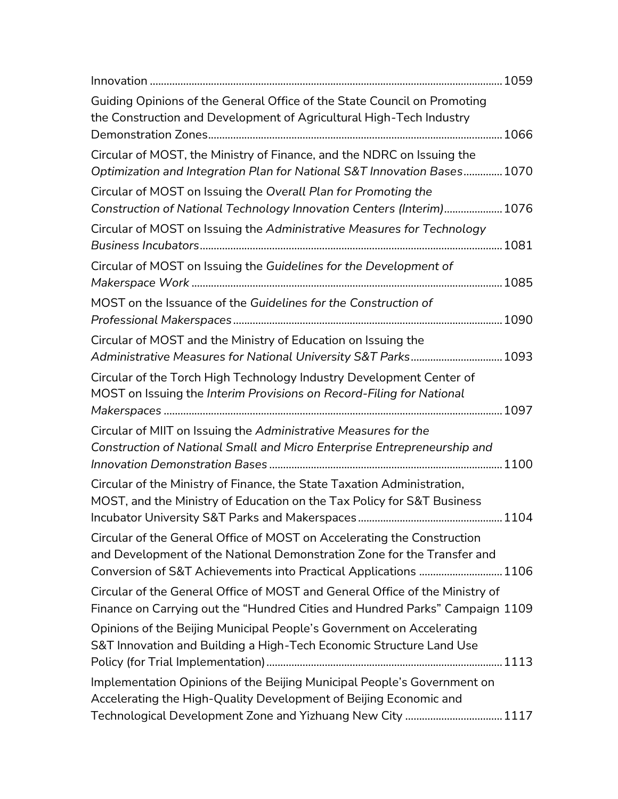| Guiding Opinions of the General Office of the State Council on Promoting<br>the Construction and Development of Agricultural High-Tech Industry                                                                        |
|------------------------------------------------------------------------------------------------------------------------------------------------------------------------------------------------------------------------|
| Circular of MOST, the Ministry of Finance, and the NDRC on Issuing the<br>Optimization and Integration Plan for National S&T Innovation Bases 1070                                                                     |
| Circular of MOST on Issuing the Overall Plan for Promoting the<br>Construction of National Technology Innovation Centers (Interim) 1076                                                                                |
| Circular of MOST on Issuing the Administrative Measures for Technology                                                                                                                                                 |
| Circular of MOST on Issuing the Guidelines for the Development of                                                                                                                                                      |
| MOST on the Issuance of the Guidelines for the Construction of                                                                                                                                                         |
| Circular of MOST and the Ministry of Education on Issuing the<br>Administrative Measures for National University S&T Parks 1093                                                                                        |
| Circular of the Torch High Technology Industry Development Center of<br>MOST on Issuing the Interim Provisions on Record-Filing for National                                                                           |
| Circular of MIIT on Issuing the Administrative Measures for the<br>Construction of National Small and Micro Enterprise Entrepreneurship and                                                                            |
| Circular of the Ministry of Finance, the State Taxation Administration,<br>MOST, and the Ministry of Education on the Tax Policy for S&T Business                                                                      |
| Circular of the General Office of MOST on Accelerating the Construction<br>and Development of the National Demonstration Zone for the Transfer and<br>Conversion of S&T Achievements into Practical Applications  1106 |
| Circular of the General Office of MOST and General Office of the Ministry of<br>Finance on Carrying out the "Hundred Cities and Hundred Parks" Campaign 1109                                                           |
| Opinions of the Beijing Municipal People's Government on Accelerating<br>S&T Innovation and Building a High-Tech Economic Structure Land Use                                                                           |
| Implementation Opinions of the Beijing Municipal People's Government on<br>Accelerating the High-Quality Development of Beijing Economic and<br>Technological Development Zone and Yizhuang New City  1117             |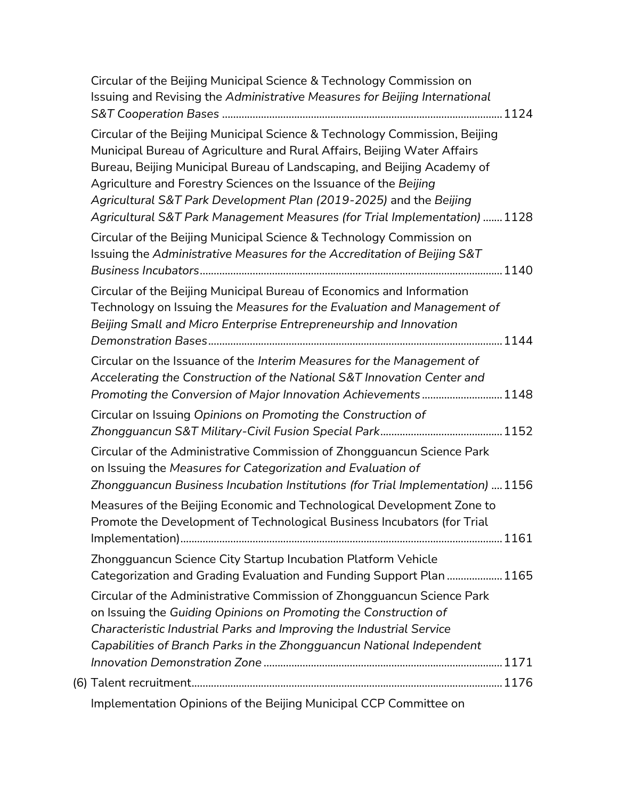| Circular of the Beijing Municipal Science & Technology Commission on<br>Issuing and Revising the Administrative Measures for Beijing International                                                                                                                                                                                                                                                                                                        |
|-----------------------------------------------------------------------------------------------------------------------------------------------------------------------------------------------------------------------------------------------------------------------------------------------------------------------------------------------------------------------------------------------------------------------------------------------------------|
| Circular of the Beijing Municipal Science & Technology Commission, Beijing<br>Municipal Bureau of Agriculture and Rural Affairs, Beijing Water Affairs<br>Bureau, Beijing Municipal Bureau of Landscaping, and Beijing Academy of<br>Agriculture and Forestry Sciences on the Issuance of the Beijing<br>Agricultural S&T Park Development Plan (2019-2025) and the Beijing<br>Agricultural S&T Park Management Measures (for Trial Implementation)  1128 |
| Circular of the Beijing Municipal Science & Technology Commission on<br>Issuing the Administrative Measures for the Accreditation of Beijing S&T                                                                                                                                                                                                                                                                                                          |
| Circular of the Beijing Municipal Bureau of Economics and Information<br>Technology on Issuing the Measures for the Evaluation and Management of<br>Beijing Small and Micro Enterprise Entrepreneurship and Innovation                                                                                                                                                                                                                                    |
| Circular on the Issuance of the Interim Measures for the Management of<br>Accelerating the Construction of the National S&T Innovation Center and<br>Promoting the Conversion of Major Innovation Achievements  1148                                                                                                                                                                                                                                      |
| Circular on Issuing Opinions on Promoting the Construction of                                                                                                                                                                                                                                                                                                                                                                                             |
| Circular of the Administrative Commission of Zhongguancun Science Park<br>on Issuing the Measures for Categorization and Evaluation of<br>Zhongguancun Business Incubation Institutions (for Trial Implementation)  1156                                                                                                                                                                                                                                  |
| Measures of the Beijing Economic and Technological Development Zone to<br>Promote the Development of Technological Business Incubators (for Trial                                                                                                                                                                                                                                                                                                         |
| Zhongguancun Science City Startup Incubation Platform Vehicle<br>Categorization and Grading Evaluation and Funding Support Plan  1165                                                                                                                                                                                                                                                                                                                     |
| Circular of the Administrative Commission of Zhongguancun Science Park<br>on Issuing the Guiding Opinions on Promoting the Construction of<br>Characteristic Industrial Parks and Improving the Industrial Service<br>Capabilities of Branch Parks in the Zhongguancun National Independent                                                                                                                                                               |
|                                                                                                                                                                                                                                                                                                                                                                                                                                                           |
|                                                                                                                                                                                                                                                                                                                                                                                                                                                           |

Implementation Opinions of the Beijing Municipal CCP Committee on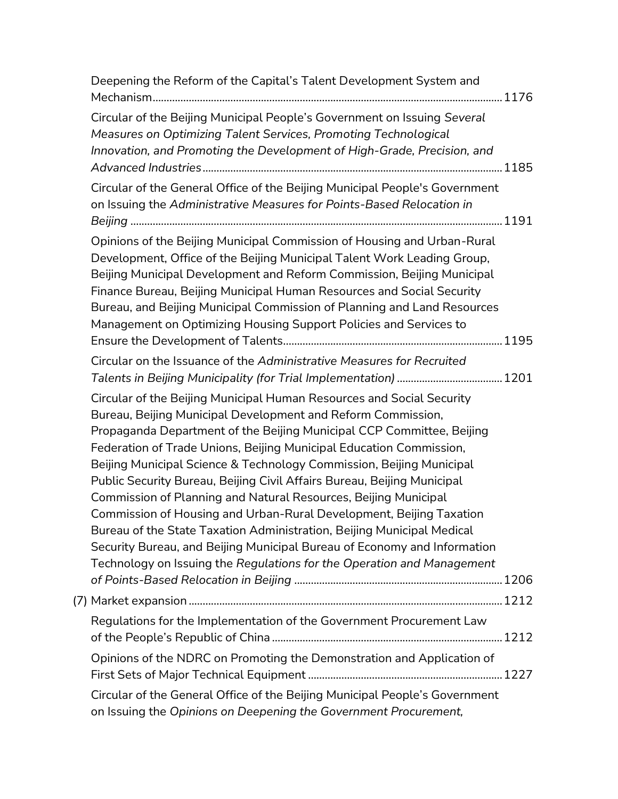| Deepening the Reform of the Capital's Talent Development System and                                                                                                                                                                                                                                                                                                                                                                                                                                                                                                                                                                                                                                                                                                                                                |  |
|--------------------------------------------------------------------------------------------------------------------------------------------------------------------------------------------------------------------------------------------------------------------------------------------------------------------------------------------------------------------------------------------------------------------------------------------------------------------------------------------------------------------------------------------------------------------------------------------------------------------------------------------------------------------------------------------------------------------------------------------------------------------------------------------------------------------|--|
| Circular of the Beijing Municipal People's Government on Issuing Several<br>Measures on Optimizing Talent Services, Promoting Technological<br>Innovation, and Promoting the Development of High-Grade, Precision, and                                                                                                                                                                                                                                                                                                                                                                                                                                                                                                                                                                                             |  |
| Circular of the General Office of the Beijing Municipal People's Government<br>on Issuing the Administrative Measures for Points-Based Relocation in                                                                                                                                                                                                                                                                                                                                                                                                                                                                                                                                                                                                                                                               |  |
| Opinions of the Beijing Municipal Commission of Housing and Urban-Rural<br>Development, Office of the Beijing Municipal Talent Work Leading Group,<br>Beijing Municipal Development and Reform Commission, Beijing Municipal<br>Finance Bureau, Beijing Municipal Human Resources and Social Security<br>Bureau, and Beijing Municipal Commission of Planning and Land Resources<br>Management on Optimizing Housing Support Policies and Services to                                                                                                                                                                                                                                                                                                                                                              |  |
| Circular on the Issuance of the Administrative Measures for Recruited                                                                                                                                                                                                                                                                                                                                                                                                                                                                                                                                                                                                                                                                                                                                              |  |
| Circular of the Beijing Municipal Human Resources and Social Security<br>Bureau, Beijing Municipal Development and Reform Commission,<br>Propaganda Department of the Beijing Municipal CCP Committee, Beijing<br>Federation of Trade Unions, Beijing Municipal Education Commission,<br>Beijing Municipal Science & Technology Commission, Beijing Municipal<br>Public Security Bureau, Beijing Civil Affairs Bureau, Beijing Municipal<br>Commission of Planning and Natural Resources, Beijing Municipal<br>Commission of Housing and Urban-Rural Development, Beijing Taxation<br>Bureau of the State Taxation Administration, Beijing Municipal Medical<br>Security Bureau, and Beijing Municipal Bureau of Economy and Information<br>Technology on Issuing the Regulations for the Operation and Management |  |
|                                                                                                                                                                                                                                                                                                                                                                                                                                                                                                                                                                                                                                                                                                                                                                                                                    |  |
| Regulations for the Implementation of the Government Procurement Law                                                                                                                                                                                                                                                                                                                                                                                                                                                                                                                                                                                                                                                                                                                                               |  |
| Opinions of the NDRC on Promoting the Demonstration and Application of                                                                                                                                                                                                                                                                                                                                                                                                                                                                                                                                                                                                                                                                                                                                             |  |
| Circular of the General Office of the Beijing Municipal People's Government<br>on Issuing the Opinions on Deepening the Government Procurement,                                                                                                                                                                                                                                                                                                                                                                                                                                                                                                                                                                                                                                                                    |  |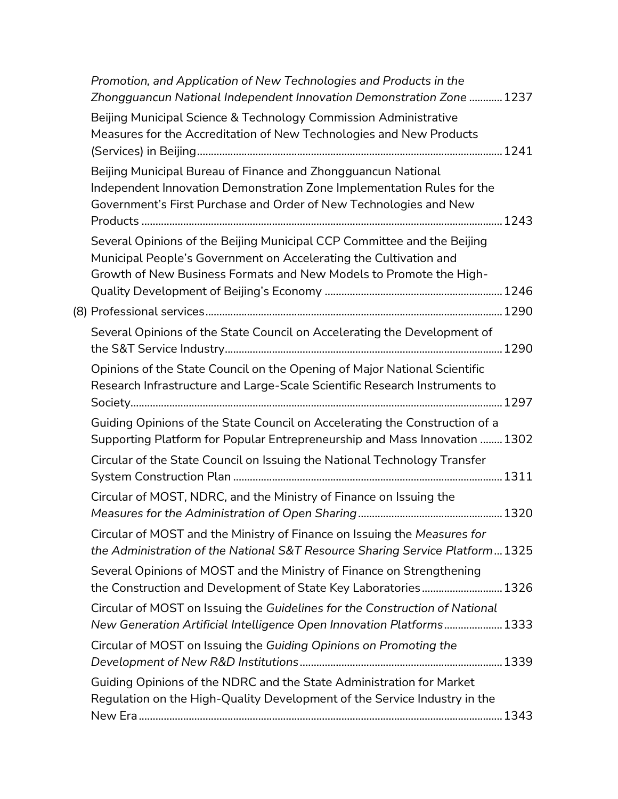| Promotion, and Application of New Technologies and Products in the<br>Zhongguancun National Independent Innovation Demonstration Zone  1237                                                                        |  |
|--------------------------------------------------------------------------------------------------------------------------------------------------------------------------------------------------------------------|--|
| Beijing Municipal Science & Technology Commission Administrative<br>Measures for the Accreditation of New Technologies and New Products                                                                            |  |
| Beijing Municipal Bureau of Finance and Zhongguancun National<br>Independent Innovation Demonstration Zone Implementation Rules for the<br>Government's First Purchase and Order of New Technologies and New       |  |
| Several Opinions of the Beijing Municipal CCP Committee and the Beijing<br>Municipal People's Government on Accelerating the Cultivation and<br>Growth of New Business Formats and New Models to Promote the High- |  |
|                                                                                                                                                                                                                    |  |
| Several Opinions of the State Council on Accelerating the Development of                                                                                                                                           |  |
| Opinions of the State Council on the Opening of Major National Scientific<br>Research Infrastructure and Large-Scale Scientific Research Instruments to                                                            |  |
| Guiding Opinions of the State Council on Accelerating the Construction of a<br>Supporting Platform for Popular Entrepreneurship and Mass Innovation  1302                                                          |  |
| Circular of the State Council on Issuing the National Technology Transfer                                                                                                                                          |  |
| Circular of MOST, NDRC, and the Ministry of Finance on Issuing the                                                                                                                                                 |  |
| Circular of MOST and the Ministry of Finance on Issuing the Measures for<br>the Administration of the National S&T Resource Sharing Service Platform1325                                                           |  |
| Several Opinions of MOST and the Ministry of Finance on Strengthening<br>the Construction and Development of State Key Laboratories 1326                                                                           |  |
| Circular of MOST on Issuing the Guidelines for the Construction of National<br>New Generation Artificial Intelligence Open Innovation Platforms 1333                                                               |  |
| Circular of MOST on Issuing the Guiding Opinions on Promoting the                                                                                                                                                  |  |
| Guiding Opinions of the NDRC and the State Administration for Market<br>Regulation on the High-Quality Development of the Service Industry in the                                                                  |  |
|                                                                                                                                                                                                                    |  |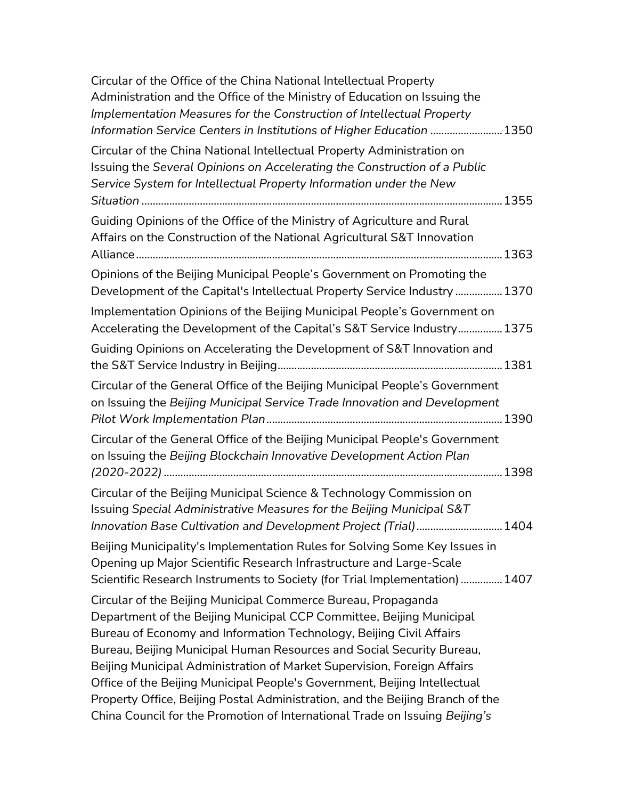| Circular of the Office of the China National Intellectual Property<br>Administration and the Office of the Ministry of Education on Issuing the<br>Implementation Measures for the Construction of Intellectual Property<br>Information Service Centers in Institutions of Higher Education  1350                                                                                                                                                                                                                                                                                                             |
|---------------------------------------------------------------------------------------------------------------------------------------------------------------------------------------------------------------------------------------------------------------------------------------------------------------------------------------------------------------------------------------------------------------------------------------------------------------------------------------------------------------------------------------------------------------------------------------------------------------|
| Circular of the China National Intellectual Property Administration on<br>Issuing the Several Opinions on Accelerating the Construction of a Public<br>Service System for Intellectual Property Information under the New                                                                                                                                                                                                                                                                                                                                                                                     |
| Guiding Opinions of the Office of the Ministry of Agriculture and Rural<br>Affairs on the Construction of the National Agricultural S&T Innovation                                                                                                                                                                                                                                                                                                                                                                                                                                                            |
| Opinions of the Beijing Municipal People's Government on Promoting the<br>Development of the Capital's Intellectual Property Service Industry  1370<br>Implementation Opinions of the Beijing Municipal People's Government on<br>Accelerating the Development of the Capital's S&T Service Industry 1375                                                                                                                                                                                                                                                                                                     |
| Guiding Opinions on Accelerating the Development of S&T Innovation and                                                                                                                                                                                                                                                                                                                                                                                                                                                                                                                                        |
| Circular of the General Office of the Beijing Municipal People's Government<br>on Issuing the Beijing Municipal Service Trade Innovation and Development                                                                                                                                                                                                                                                                                                                                                                                                                                                      |
| Circular of the General Office of the Beijing Municipal People's Government<br>on Issuing the Beijing Blockchain Innovative Development Action Plan                                                                                                                                                                                                                                                                                                                                                                                                                                                           |
| Circular of the Beijing Municipal Science & Technology Commission on<br>Issuing Special Administrative Measures for the Beijing Municipal S&T<br>Innovation Base Cultivation and Development Project (Trial) 1404                                                                                                                                                                                                                                                                                                                                                                                             |
| Beijing Municipality's Implementation Rules for Solving Some Key Issues in<br>Opening up Major Scientific Research Infrastructure and Large-Scale<br>Scientific Research Instruments to Society (for Trial Implementation)  1407                                                                                                                                                                                                                                                                                                                                                                              |
| Circular of the Beijing Municipal Commerce Bureau, Propaganda<br>Department of the Beijing Municipal CCP Committee, Beijing Municipal<br>Bureau of Economy and Information Technology, Beijing Civil Affairs<br>Bureau, Beijing Municipal Human Resources and Social Security Bureau,<br>Beijing Municipal Administration of Market Supervision, Foreign Affairs<br>Office of the Beijing Municipal People's Government, Beijing Intellectual<br>Property Office, Beijing Postal Administration, and the Beijing Branch of the<br>China Council for the Promotion of International Trade on Issuing Beijing's |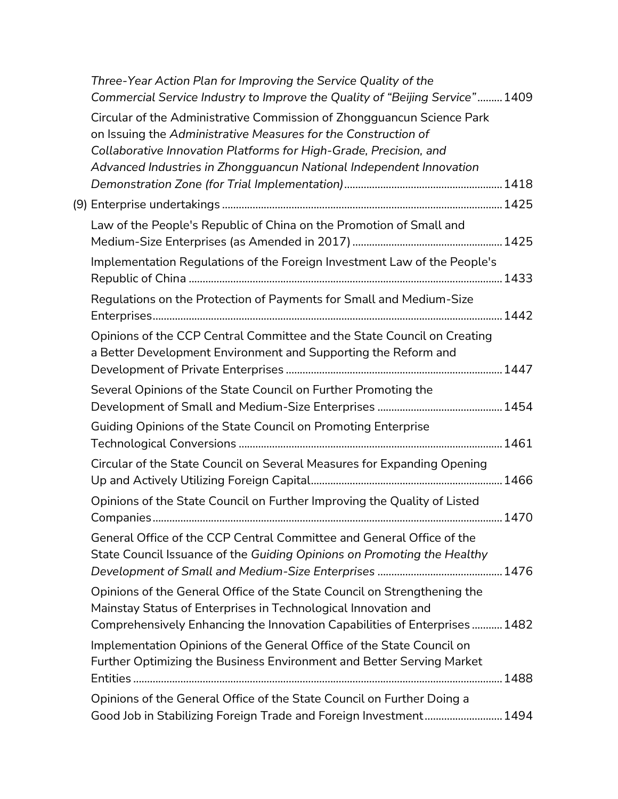| Three-Year Action Plan for Improving the Service Quality of the<br>Commercial Service Industry to Improve the Quality of "Beijing Service" 1409                                                                                                                                      |  |
|--------------------------------------------------------------------------------------------------------------------------------------------------------------------------------------------------------------------------------------------------------------------------------------|--|
| Circular of the Administrative Commission of Zhongguancun Science Park<br>on Issuing the Administrative Measures for the Construction of<br>Collaborative Innovation Platforms for High-Grade, Precision, and<br>Advanced Industries in Zhongguancun National Independent Innovation |  |
|                                                                                                                                                                                                                                                                                      |  |
| Law of the People's Republic of China on the Promotion of Small and                                                                                                                                                                                                                  |  |
| Implementation Regulations of the Foreign Investment Law of the People's                                                                                                                                                                                                             |  |
| Regulations on the Protection of Payments for Small and Medium-Size                                                                                                                                                                                                                  |  |
| Opinions of the CCP Central Committee and the State Council on Creating<br>a Better Development Environment and Supporting the Reform and                                                                                                                                            |  |
| Several Opinions of the State Council on Further Promoting the                                                                                                                                                                                                                       |  |
| Guiding Opinions of the State Council on Promoting Enterprise                                                                                                                                                                                                                        |  |
| Circular of the State Council on Several Measures for Expanding Opening                                                                                                                                                                                                              |  |
| Opinions of the State Council on Further Improving the Quality of Listed                                                                                                                                                                                                             |  |
| General Office of the CCP Central Committee and General Office of the<br>State Council Issuance of the Guiding Opinions on Promoting the Healthy                                                                                                                                     |  |
| Opinions of the General Office of the State Council on Strengthening the<br>Mainstay Status of Enterprises in Technological Innovation and<br>Comprehensively Enhancing the Innovation Capabilities of Enterprises 1482                                                              |  |
| Implementation Opinions of the General Office of the State Council on<br>Further Optimizing the Business Environment and Better Serving Market                                                                                                                                       |  |
|                                                                                                                                                                                                                                                                                      |  |
| Opinions of the General Office of the State Council on Further Doing a<br>Good Job in Stabilizing Foreign Trade and Foreign Investment 1494                                                                                                                                          |  |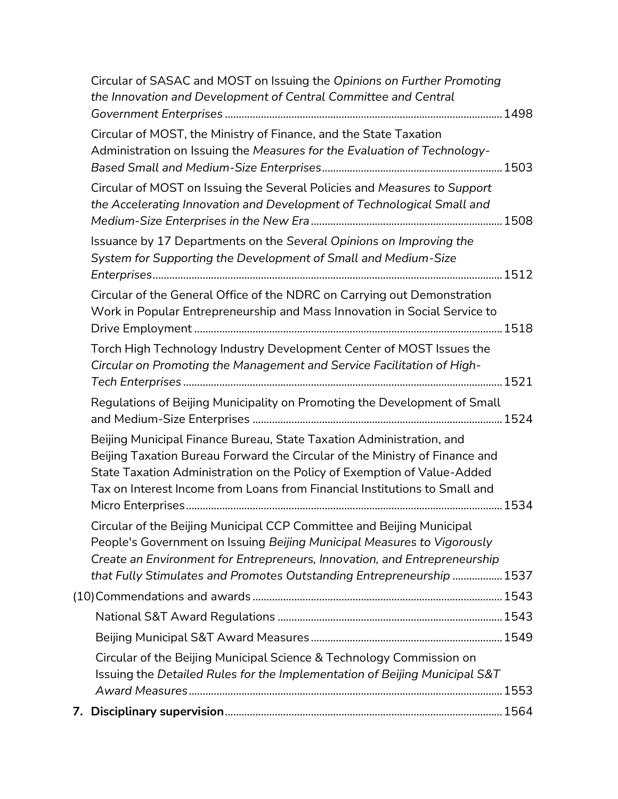| Circular of SASAC and MOST on Issuing the Opinions on Further Promoting<br>the Innovation and Development of Central Committee and Central                                                                                                                                                                   |  |
|--------------------------------------------------------------------------------------------------------------------------------------------------------------------------------------------------------------------------------------------------------------------------------------------------------------|--|
| Circular of MOST, the Ministry of Finance, and the State Taxation<br>Administration on Issuing the Measures for the Evaluation of Technology-                                                                                                                                                                |  |
| Circular of MOST on Issuing the Several Policies and Measures to Support<br>the Accelerating Innovation and Development of Technological Small and                                                                                                                                                           |  |
| Issuance by 17 Departments on the Several Opinions on Improving the<br>System for Supporting the Development of Small and Medium-Size                                                                                                                                                                        |  |
| Circular of the General Office of the NDRC on Carrying out Demonstration<br>Work in Popular Entrepreneurship and Mass Innovation in Social Service to                                                                                                                                                        |  |
| Torch High Technology Industry Development Center of MOST Issues the<br>Circular on Promoting the Management and Service Facilitation of High-                                                                                                                                                               |  |
| Regulations of Beijing Municipality on Promoting the Development of Small                                                                                                                                                                                                                                    |  |
| Beijing Municipal Finance Bureau, State Taxation Administration, and<br>Beijing Taxation Bureau Forward the Circular of the Ministry of Finance and<br>State Taxation Administration on the Policy of Exemption of Value-Added<br>Tax on Interest Income from Loans from Financial Institutions to Small and |  |
| Circular of the Beijing Municipal CCP Committee and Beijing Municipal<br>People's Government on Issuing Beijing Municipal Measures to Vigorously<br>Create an Environment for Entrepreneurs, Innovation, and Entrepreneurship<br>that Fully Stimulates and Promotes Outstanding Entrepreneurship  1537       |  |
|                                                                                                                                                                                                                                                                                                              |  |
|                                                                                                                                                                                                                                                                                                              |  |
|                                                                                                                                                                                                                                                                                                              |  |
| Circular of the Beijing Municipal Science & Technology Commission on<br>Issuing the Detailed Rules for the Implementation of Beijing Municipal S&T                                                                                                                                                           |  |
|                                                                                                                                                                                                                                                                                                              |  |
|                                                                                                                                                                                                                                                                                                              |  |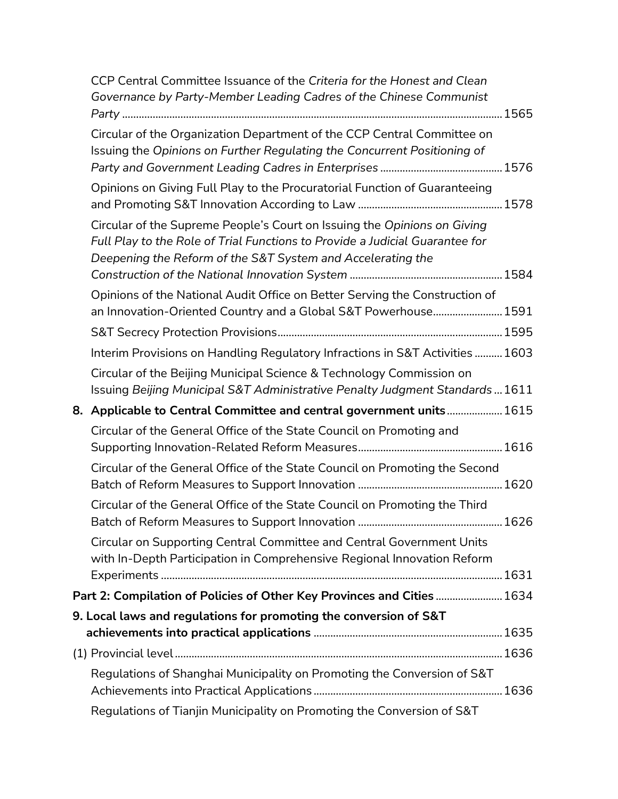| CCP Central Committee Issuance of the Criteria for the Honest and Clean<br>Governance by Party-Member Leading Cadres of the Chinese Communist                                                                           |      |
|-------------------------------------------------------------------------------------------------------------------------------------------------------------------------------------------------------------------------|------|
| Circular of the Organization Department of the CCP Central Committee on<br>Issuing the Opinions on Further Regulating the Concurrent Positioning of                                                                     |      |
| Opinions on Giving Full Play to the Procuratorial Function of Guaranteeing                                                                                                                                              |      |
| Circular of the Supreme People's Court on Issuing the Opinions on Giving<br>Full Play to the Role of Trial Functions to Provide a Judicial Guarantee for<br>Deepening the Reform of the S&T System and Accelerating the |      |
| Opinions of the National Audit Office on Better Serving the Construction of<br>an Innovation-Oriented Country and a Global S&T Powerhouse 1591                                                                          |      |
|                                                                                                                                                                                                                         |      |
| Interim Provisions on Handling Regulatory Infractions in S&T Activities  1603                                                                                                                                           |      |
| Circular of the Beijing Municipal Science & Technology Commission on<br>Issuing Beijing Municipal S&T Administrative Penalty Judgment Standards  1611                                                                   |      |
|                                                                                                                                                                                                                         |      |
| 8. Applicable to Central Committee and central government units 1615                                                                                                                                                    |      |
| Circular of the General Office of the State Council on Promoting and                                                                                                                                                    |      |
| Circular of the General Office of the State Council on Promoting the Second                                                                                                                                             |      |
| Circular of the General Office of the State Council on Promoting the Third                                                                                                                                              | 1626 |
| Circular on Supporting Central Committee and Central Government Units<br>with In-Depth Participation in Comprehensive Regional Innovation Reform                                                                        |      |
| Part 2: Compilation of Policies of Other Key Provinces and Cities  1634                                                                                                                                                 |      |
| 9. Local laws and regulations for promoting the conversion of S&T                                                                                                                                                       |      |
|                                                                                                                                                                                                                         |      |
| Regulations of Shanghai Municipality on Promoting the Conversion of S&T                                                                                                                                                 |      |
|                                                                                                                                                                                                                         |      |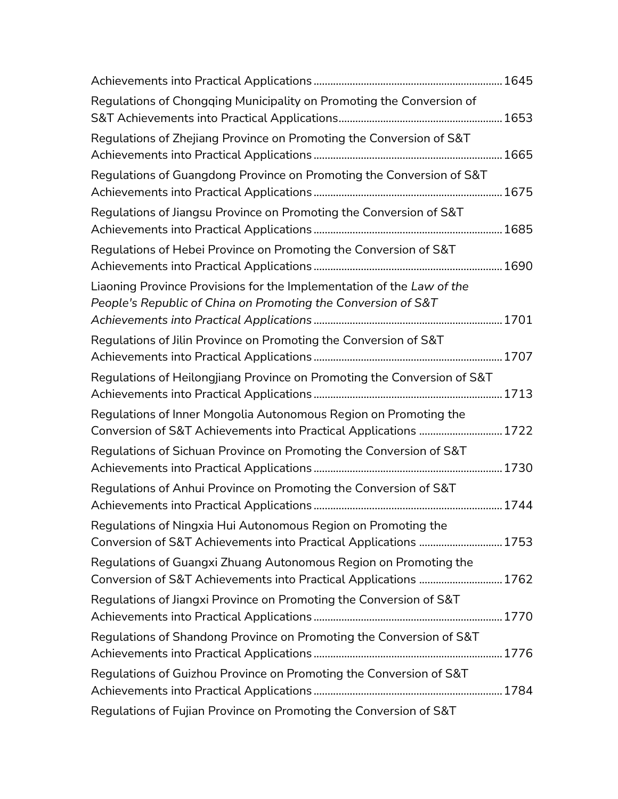| Regulations of Chongqing Municipality on Promoting the Conversion of                                                                   |  |
|----------------------------------------------------------------------------------------------------------------------------------------|--|
| Regulations of Zhejiang Province on Promoting the Conversion of S&T                                                                    |  |
| Regulations of Guangdong Province on Promoting the Conversion of S&T                                                                   |  |
| Regulations of Jiangsu Province on Promoting the Conversion of S&T                                                                     |  |
| Regulations of Hebei Province on Promoting the Conversion of S&T                                                                       |  |
| Liaoning Province Provisions for the Implementation of the Law of the<br>People's Republic of China on Promoting the Conversion of S&T |  |
| Regulations of Jilin Province on Promoting the Conversion of S&T                                                                       |  |
| Regulations of Heilongjiang Province on Promoting the Conversion of S&T                                                                |  |
| Regulations of Inner Mongolia Autonomous Region on Promoting the<br>Conversion of S&T Achievements into Practical Applications  1722   |  |
| Regulations of Sichuan Province on Promoting the Conversion of S&T                                                                     |  |
| Regulations of Anhui Province on Promoting the Conversion of S&T                                                                       |  |
| Regulations of Ningxia Hui Autonomous Region on Promoting the<br>Conversion of S&T Achievements into Practical Applications  1753      |  |
| Regulations of Guangxi Zhuang Autonomous Region on Promoting the<br>Conversion of S&T Achievements into Practical Applications  1762   |  |
| Regulations of Jiangxi Province on Promoting the Conversion of S&T                                                                     |  |
| Regulations of Shandong Province on Promoting the Conversion of S&T                                                                    |  |
| Regulations of Guizhou Province on Promoting the Conversion of S&T                                                                     |  |
| Regulations of Fujian Province on Promoting the Conversion of S&T                                                                      |  |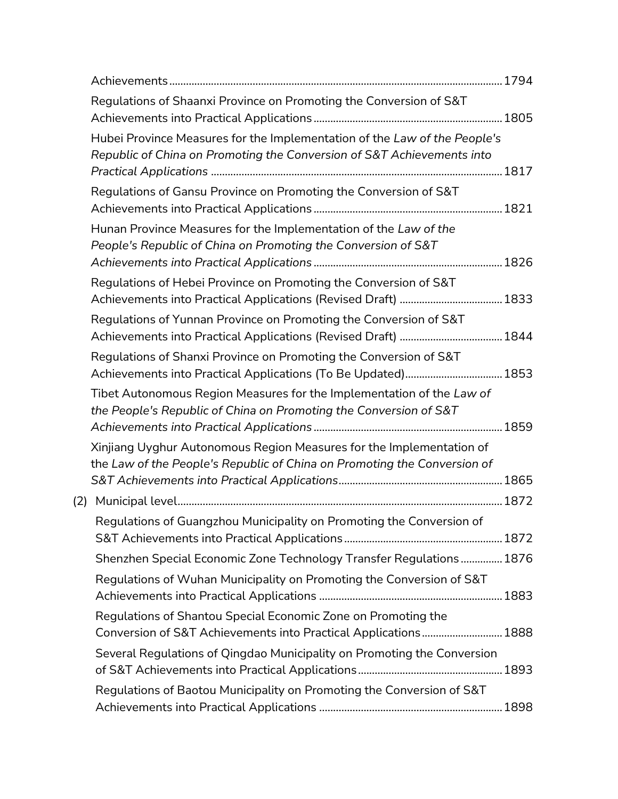|     | Regulations of Shaanxi Province on Promoting the Conversion of S&T                                                                                  |  |
|-----|-----------------------------------------------------------------------------------------------------------------------------------------------------|--|
|     | Hubei Province Measures for the Implementation of the Law of the People's<br>Republic of China on Promoting the Conversion of S&T Achievements into |  |
|     |                                                                                                                                                     |  |
|     | Regulations of Gansu Province on Promoting the Conversion of S&T                                                                                    |  |
|     | Hunan Province Measures for the Implementation of the Law of the<br>People's Republic of China on Promoting the Conversion of S&T                   |  |
|     | Regulations of Hebei Province on Promoting the Conversion of S&T                                                                                    |  |
|     | Regulations of Yunnan Province on Promoting the Conversion of S&T                                                                                   |  |
|     | Regulations of Shanxi Province on Promoting the Conversion of S&T<br>Achievements into Practical Applications (To Be Updated) 1853                  |  |
|     | Tibet Autonomous Region Measures for the Implementation of the Law of<br>the People's Republic of China on Promoting the Conversion of S&T          |  |
|     | Xinjiang Uyghur Autonomous Region Measures for the Implementation of<br>the Law of the People's Republic of China on Promoting the Conversion of    |  |
| (2) |                                                                                                                                                     |  |
|     | Regulations of Guangzhou Municipality on Promoting the Conversion of                                                                                |  |
|     | Shenzhen Special Economic Zone Technology Transfer Regulations 1876                                                                                 |  |
|     | Regulations of Wuhan Municipality on Promoting the Conversion of S&T                                                                                |  |
|     | Regulations of Shantou Special Economic Zone on Promoting the<br>Conversion of S&T Achievements into Practical Applications 1888                    |  |
|     | Several Regulations of Qingdao Municipality on Promoting the Conversion                                                                             |  |
|     | Regulations of Baotou Municipality on Promoting the Conversion of S&T                                                                               |  |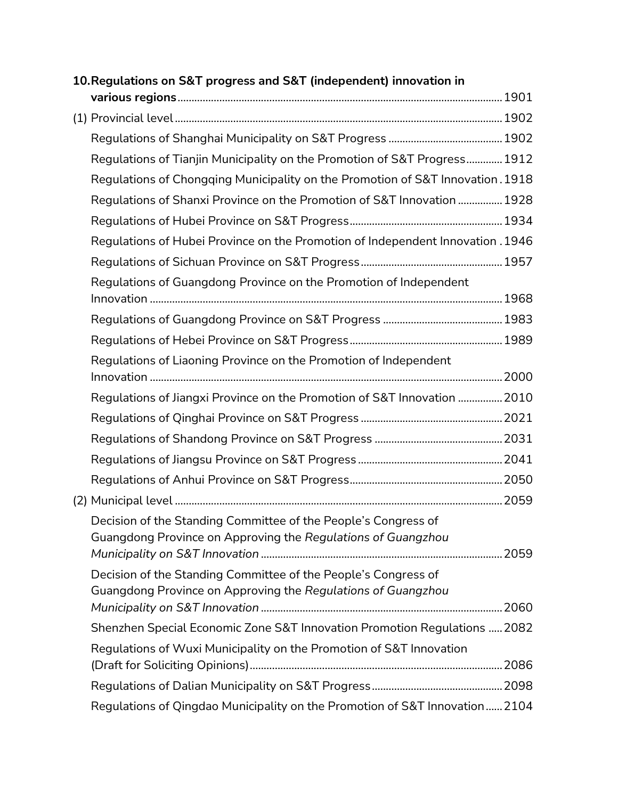| 10. Regulations on S&T progress and S&T (independent) innovation in             |  |
|---------------------------------------------------------------------------------|--|
|                                                                                 |  |
|                                                                                 |  |
|                                                                                 |  |
| Regulations of Tianjin Municipality on the Promotion of S&T Progress 1912       |  |
| Regulations of Chongqing Municipality on the Promotion of S&T Innovation. 1918  |  |
| Regulations of Shanxi Province on the Promotion of S&T Innovation  1928         |  |
|                                                                                 |  |
| Regulations of Hubei Province on the Promotion of Independent Innovation . 1946 |  |
|                                                                                 |  |
| Regulations of Guangdong Province on the Promotion of Independent               |  |
|                                                                                 |  |
|                                                                                 |  |
|                                                                                 |  |
| Regulations of Liaoning Province on the Promotion of Independent                |  |
|                                                                                 |  |
| Regulations of Jiangxi Province on the Promotion of S&T Innovation  2010        |  |
|                                                                                 |  |
|                                                                                 |  |
|                                                                                 |  |
|                                                                                 |  |
|                                                                                 |  |
| Decision of the Standing Committee of the People's Congress of                  |  |
| Guangdong Province on Approving the Regulations of Guangzhou                    |  |
| Decision of the Standing Committee of the People's Congress of                  |  |
| Guangdong Province on Approving the Regulations of Guangzhou                    |  |
|                                                                                 |  |
| Shenzhen Special Economic Zone S&T Innovation Promotion Regulations  2082       |  |
| Regulations of Wuxi Municipality on the Promotion of S&T Innovation             |  |
|                                                                                 |  |
|                                                                                 |  |
| Regulations of Qingdao Municipality on the Promotion of S&T Innovation 2104     |  |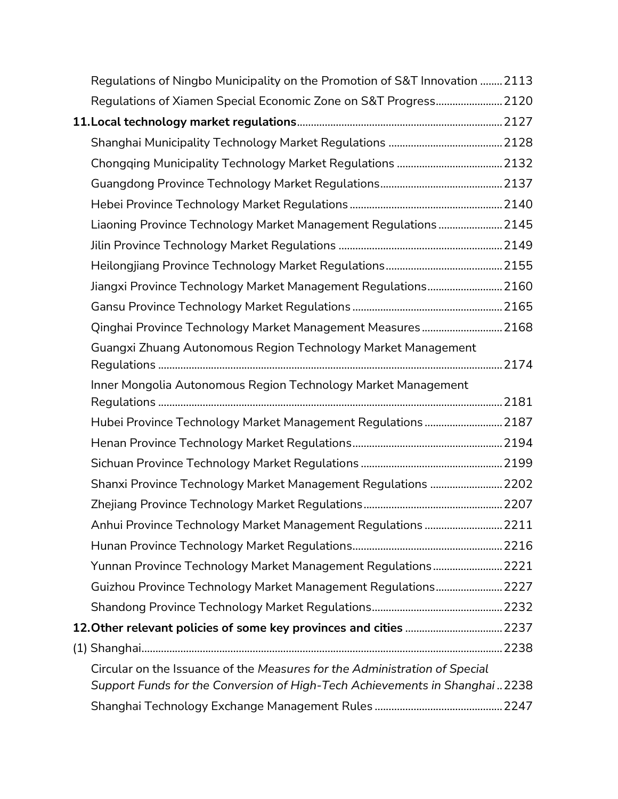| Regulations of Ningbo Municipality on the Promotion of S&T Innovation  2113                                                                              |  |
|----------------------------------------------------------------------------------------------------------------------------------------------------------|--|
| Regulations of Xiamen Special Economic Zone on S&T Progress 2120                                                                                         |  |
|                                                                                                                                                          |  |
|                                                                                                                                                          |  |
|                                                                                                                                                          |  |
|                                                                                                                                                          |  |
|                                                                                                                                                          |  |
| Liaoning Province Technology Market Management Regulations  2145                                                                                         |  |
|                                                                                                                                                          |  |
|                                                                                                                                                          |  |
| Jiangxi Province Technology Market Management Regulations 2160                                                                                           |  |
|                                                                                                                                                          |  |
| Qinghai Province Technology Market Management Measures 2168                                                                                              |  |
| Guangxi Zhuang Autonomous Region Technology Market Management                                                                                            |  |
| Inner Mongolia Autonomous Region Technology Market Management                                                                                            |  |
|                                                                                                                                                          |  |
| Hubei Province Technology Market Management Regulations  2187                                                                                            |  |
|                                                                                                                                                          |  |
|                                                                                                                                                          |  |
| Shanxi Province Technology Market Management Regulations  2202                                                                                           |  |
|                                                                                                                                                          |  |
| Anhui Province Technology Market Management Regulations  2211                                                                                            |  |
|                                                                                                                                                          |  |
| Yunnan Province Technology Market Management Regulations 2221                                                                                            |  |
| Guizhou Province Technology Market Management Regulations 2227                                                                                           |  |
|                                                                                                                                                          |  |
| 12. Other relevant policies of some key provinces and cities  2237                                                                                       |  |
|                                                                                                                                                          |  |
| Circular on the Issuance of the Measures for the Administration of Special<br>Support Funds for the Conversion of High-Tech Achievements in Shanghai2238 |  |
|                                                                                                                                                          |  |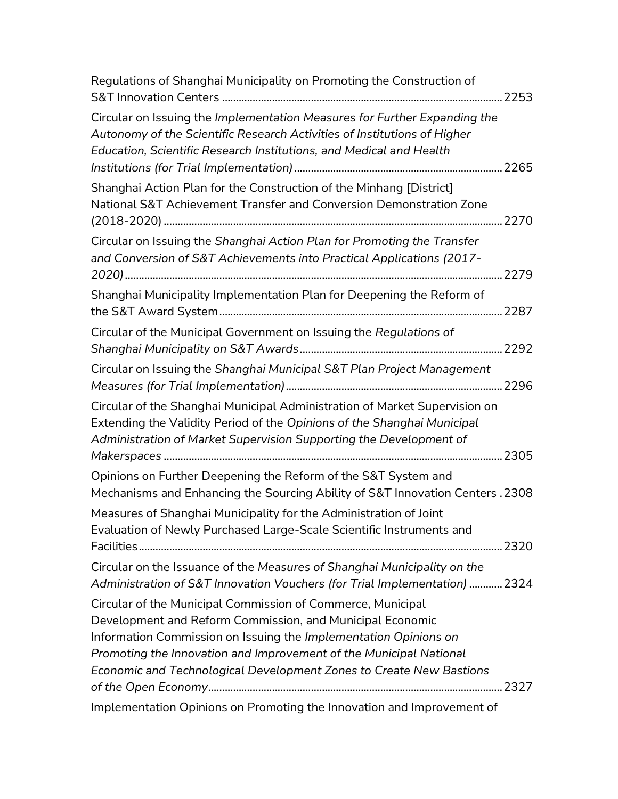| Regulations of Shanghai Municipality on Promoting the Construction of                                                                                                                                                                                                                                                                     |  |
|-------------------------------------------------------------------------------------------------------------------------------------------------------------------------------------------------------------------------------------------------------------------------------------------------------------------------------------------|--|
| Circular on Issuing the Implementation Measures for Further Expanding the<br>Autonomy of the Scientific Research Activities of Institutions of Higher<br>Education, Scientific Research Institutions, and Medical and Health                                                                                                              |  |
| Shanghai Action Plan for the Construction of the Minhang [District]<br>National S&T Achievement Transfer and Conversion Demonstration Zone                                                                                                                                                                                                |  |
| Circular on Issuing the Shanghai Action Plan for Promoting the Transfer<br>and Conversion of S&T Achievements into Practical Applications (2017-                                                                                                                                                                                          |  |
| Shanghai Municipality Implementation Plan for Deepening the Reform of                                                                                                                                                                                                                                                                     |  |
| Circular of the Municipal Government on Issuing the Regulations of                                                                                                                                                                                                                                                                        |  |
| Circular on Issuing the Shanghai Municipal S&T Plan Project Management                                                                                                                                                                                                                                                                    |  |
| Circular of the Shanghai Municipal Administration of Market Supervision on<br>Extending the Validity Period of the Opinions of the Shanghai Municipal<br>Administration of Market Supervision Supporting the Development of                                                                                                               |  |
| Opinions on Further Deepening the Reform of the S&T System and<br>Mechanisms and Enhancing the Sourcing Ability of S&T Innovation Centers. 2308                                                                                                                                                                                           |  |
| Measures of Shanghai Municipality for the Administration of Joint<br>Evaluation of Newly Purchased Large-Scale Scientific Instruments and                                                                                                                                                                                                 |  |
| Circular on the Issuance of the Measures of Shanghai Municipality on the<br>Administration of S&T Innovation Vouchers (for Trial Implementation)  2324                                                                                                                                                                                    |  |
| Circular of the Municipal Commission of Commerce, Municipal<br>Development and Reform Commission, and Municipal Economic<br>Information Commission on Issuing the Implementation Opinions on<br>Promoting the Innovation and Improvement of the Municipal National<br>Economic and Technological Development Zones to Create New Bastions |  |
| Implementation Opinions on Promoting the Innovation and Improvement of                                                                                                                                                                                                                                                                    |  |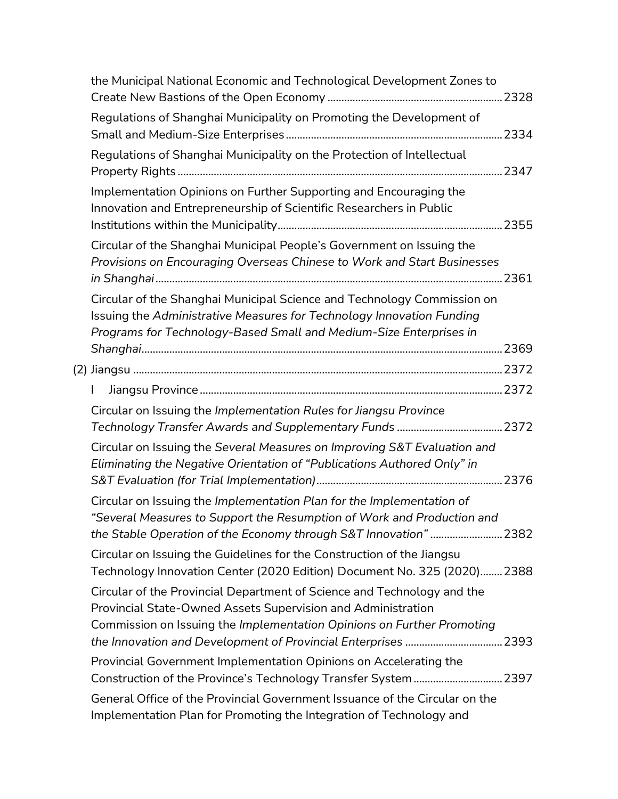| the Municipal National Economic and Technological Development Zones to                                                                                                                                                 |  |
|------------------------------------------------------------------------------------------------------------------------------------------------------------------------------------------------------------------------|--|
| Regulations of Shanghai Municipality on Promoting the Development of                                                                                                                                                   |  |
| Regulations of Shanghai Municipality on the Protection of Intellectual                                                                                                                                                 |  |
| Implementation Opinions on Further Supporting and Encouraging the<br>Innovation and Entrepreneurship of Scientific Researchers in Public                                                                               |  |
| Circular of the Shanghai Municipal People's Government on Issuing the<br>Provisions on Encouraging Overseas Chinese to Work and Start Businesses                                                                       |  |
| Circular of the Shanghai Municipal Science and Technology Commission on<br>Issuing the Administrative Measures for Technology Innovation Funding<br>Programs for Technology-Based Small and Medium-Size Enterprises in |  |
|                                                                                                                                                                                                                        |  |
|                                                                                                                                                                                                                        |  |
|                                                                                                                                                                                                                        |  |
| Circular on Issuing the Implementation Rules for Jiangsu Province                                                                                                                                                      |  |
| Circular on Issuing the Several Measures on Improving S&T Evaluation and<br>Eliminating the Negative Orientation of "Publications Authored Only" in                                                                    |  |
| Circular on Issuing the Implementation Plan for the Implementation of<br>"Several Measures to Support the Resumption of Work and Production and<br>the Stable Operation of the Economy through S&T Innovation" 2382    |  |
| Circular on Issuing the Guidelines for the Construction of the Jiangsu<br>Technology Innovation Center (2020 Edition) Document No. 325 (2020) 2388                                                                     |  |
| Circular of the Provincial Department of Science and Technology and the<br>Provincial State-Owned Assets Supervision and Administration<br>Commission on Issuing the Implementation Opinions on Further Promoting      |  |
| Provincial Government Implementation Opinions on Accelerating the                                                                                                                                                      |  |
| General Office of the Provincial Government Issuance of the Circular on the<br>Implementation Plan for Promoting the Integration of Technology and                                                                     |  |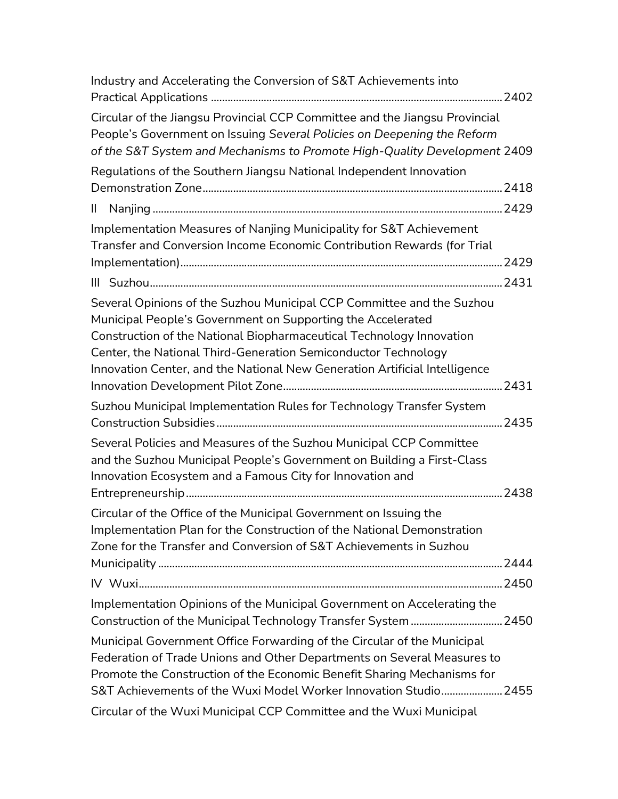| Industry and Accelerating the Conversion of S&T Achievements into                                                                                                                                                                                                                                                                                            |  |
|--------------------------------------------------------------------------------------------------------------------------------------------------------------------------------------------------------------------------------------------------------------------------------------------------------------------------------------------------------------|--|
| Circular of the Jiangsu Provincial CCP Committee and the Jiangsu Provincial<br>People's Government on Issuing Several Policies on Deepening the Reform<br>of the S&T System and Mechanisms to Promote High-Quality Development 2409                                                                                                                          |  |
| Regulations of the Southern Jiangsu National Independent Innovation                                                                                                                                                                                                                                                                                          |  |
|                                                                                                                                                                                                                                                                                                                                                              |  |
| $\mathbf{H}$                                                                                                                                                                                                                                                                                                                                                 |  |
| Implementation Measures of Nanjing Municipality for S&T Achievement<br>Transfer and Conversion Income Economic Contribution Rewards (for Trial                                                                                                                                                                                                               |  |
|                                                                                                                                                                                                                                                                                                                                                              |  |
| Several Opinions of the Suzhou Municipal CCP Committee and the Suzhou<br>Municipal People's Government on Supporting the Accelerated<br>Construction of the National Biopharmaceutical Technology Innovation<br>Center, the National Third-Generation Semiconductor Technology<br>Innovation Center, and the National New Generation Artificial Intelligence |  |
| Suzhou Municipal Implementation Rules for Technology Transfer System                                                                                                                                                                                                                                                                                         |  |
| Several Policies and Measures of the Suzhou Municipal CCP Committee<br>and the Suzhou Municipal People's Government on Building a First-Class<br>Innovation Ecosystem and a Famous City for Innovation and                                                                                                                                                   |  |
| Circular of the Office of the Municipal Government on Issuing the<br>Implementation Plan for the Construction of the National Demonstration<br>Zone for the Transfer and Conversion of S&T Achievements in Suzhou                                                                                                                                            |  |
|                                                                                                                                                                                                                                                                                                                                                              |  |
| Implementation Opinions of the Municipal Government on Accelerating the                                                                                                                                                                                                                                                                                      |  |
| Municipal Government Office Forwarding of the Circular of the Municipal<br>Federation of Trade Unions and Other Departments on Several Measures to<br>Promote the Construction of the Economic Benefit Sharing Mechanisms for<br>S&T Achievements of the Wuxi Model Worker Innovation Studio 2455                                                            |  |
| Circular of the Wuxi Municipal CCP Committee and the Wuxi Municipal                                                                                                                                                                                                                                                                                          |  |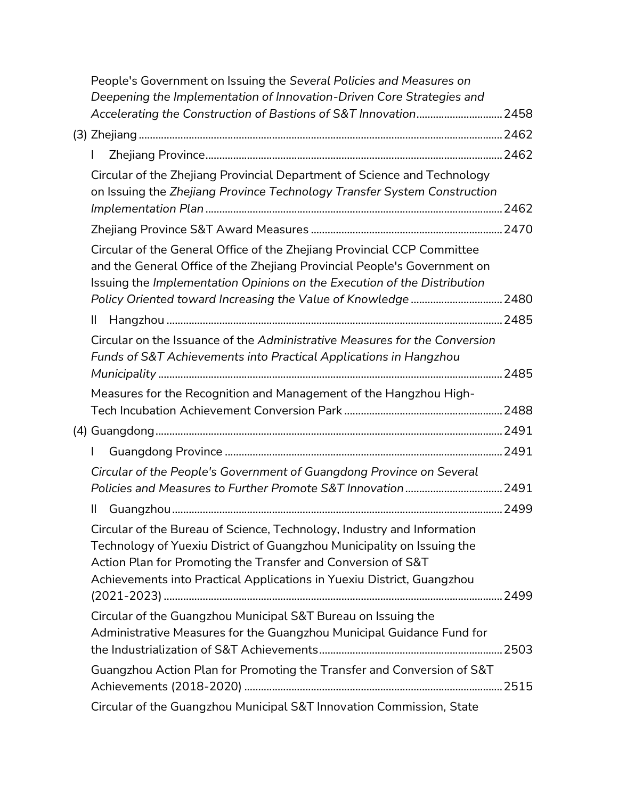| People's Government on Issuing the Several Policies and Measures on<br>Deepening the Implementation of Innovation-Driven Core Strategies and                                                                                                                                                |      |
|---------------------------------------------------------------------------------------------------------------------------------------------------------------------------------------------------------------------------------------------------------------------------------------------|------|
|                                                                                                                                                                                                                                                                                             |      |
|                                                                                                                                                                                                                                                                                             |      |
| Circular of the Zhejiang Provincial Department of Science and Technology<br>on Issuing the Zhejiang Province Technology Transfer System Construction                                                                                                                                        |      |
|                                                                                                                                                                                                                                                                                             |      |
| Circular of the General Office of the Zhejiang Provincial CCP Committee<br>and the General Office of the Zhejiang Provincial People's Government on<br>Issuing the Implementation Opinions on the Execution of the Distribution                                                             |      |
| $\mathsf{II}$                                                                                                                                                                                                                                                                               |      |
| Circular on the Issuance of the Administrative Measures for the Conversion<br>Funds of S&T Achievements into Practical Applications in Hangzhou                                                                                                                                             |      |
|                                                                                                                                                                                                                                                                                             |      |
| Measures for the Recognition and Management of the Hangzhou High-                                                                                                                                                                                                                           |      |
|                                                                                                                                                                                                                                                                                             |      |
|                                                                                                                                                                                                                                                                                             |      |
| Circular of the People's Government of Guangdong Province on Several                                                                                                                                                                                                                        |      |
| $\mathsf{II}$                                                                                                                                                                                                                                                                               | 2499 |
| Circular of the Bureau of Science, Technology, Industry and Information<br>Technology of Yuexiu District of Guangzhou Municipality on Issuing the<br>Action Plan for Promoting the Transfer and Conversion of S&T<br>Achievements into Practical Applications in Yuexiu District, Guangzhou |      |
| Circular of the Guangzhou Municipal S&T Bureau on Issuing the                                                                                                                                                                                                                               |      |
| Administrative Measures for the Guangzhou Municipal Guidance Fund for                                                                                                                                                                                                                       |      |
| Guangzhou Action Plan for Promoting the Transfer and Conversion of S&T                                                                                                                                                                                                                      |      |
| Circular of the Guangzhou Municipal S&T Innovation Commission, State                                                                                                                                                                                                                        |      |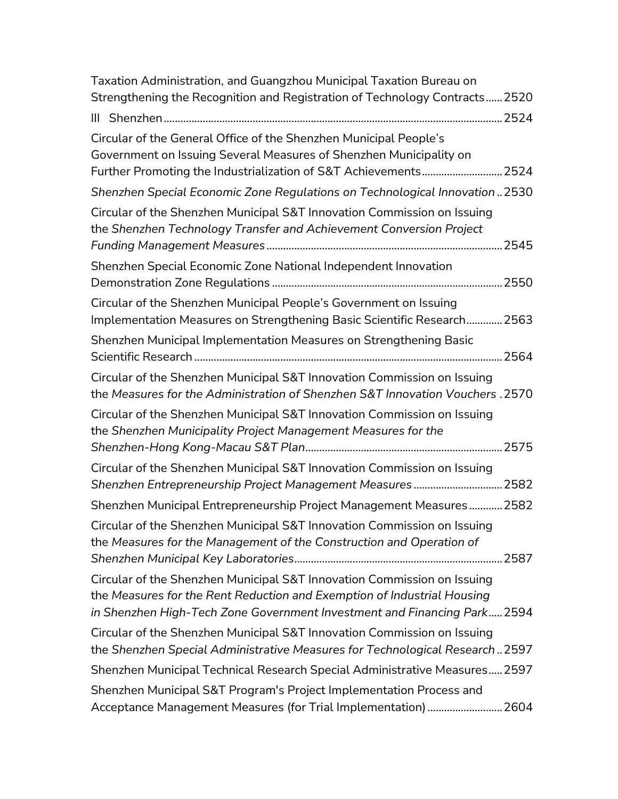| Taxation Administration, and Guangzhou Municipal Taxation Bureau on                                                                                                                                                            |  |
|--------------------------------------------------------------------------------------------------------------------------------------------------------------------------------------------------------------------------------|--|
| Strengthening the Recognition and Registration of Technology Contracts 2520                                                                                                                                                    |  |
|                                                                                                                                                                                                                                |  |
| Circular of the General Office of the Shenzhen Municipal People's<br>Government on Issuing Several Measures of Shenzhen Municipality on<br>Further Promoting the Industrialization of S&T Achievements 2524                    |  |
| Shenzhen Special Economic Zone Regulations on Technological Innovation 2530                                                                                                                                                    |  |
| Circular of the Shenzhen Municipal S&T Innovation Commission on Issuing<br>the Shenzhen Technology Transfer and Achievement Conversion Project                                                                                 |  |
| Shenzhen Special Economic Zone National Independent Innovation                                                                                                                                                                 |  |
| Circular of the Shenzhen Municipal People's Government on Issuing<br>Implementation Measures on Strengthening Basic Scientific Research 2563                                                                                   |  |
| Shenzhen Municipal Implementation Measures on Strengthening Basic                                                                                                                                                              |  |
| Circular of the Shenzhen Municipal S&T Innovation Commission on Issuing<br>the Measures for the Administration of Shenzhen S&T Innovation Vouchers . 2570                                                                      |  |
| Circular of the Shenzhen Municipal S&T Innovation Commission on Issuing<br>the Shenzhen Municipality Project Management Measures for the                                                                                       |  |
| Circular of the Shenzhen Municipal S&T Innovation Commission on Issuing<br>Shenzhen Entrepreneurship Project Management Measures 2582                                                                                          |  |
| Shenzhen Municipal Entrepreneurship Project Management Measures 2582                                                                                                                                                           |  |
| Circular of the Shenzhen Municipal S&T Innovation Commission on Issuing<br>the Measures for the Management of the Construction and Operation of                                                                                |  |
| Circular of the Shenzhen Municipal S&T Innovation Commission on Issuing<br>the Measures for the Rent Reduction and Exemption of Industrial Housing<br>in Shenzhen High-Tech Zone Government Investment and Financing Park 2594 |  |
| Circular of the Shenzhen Municipal S&T Innovation Commission on Issuing<br>the Shenzhen Special Administrative Measures for Technological Research 2597                                                                        |  |
| Shenzhen Municipal Technical Research Special Administrative Measures 2597                                                                                                                                                     |  |
| Shenzhen Municipal S&T Program's Project Implementation Process and<br>Acceptance Management Measures (for Trial Implementation)  2604                                                                                         |  |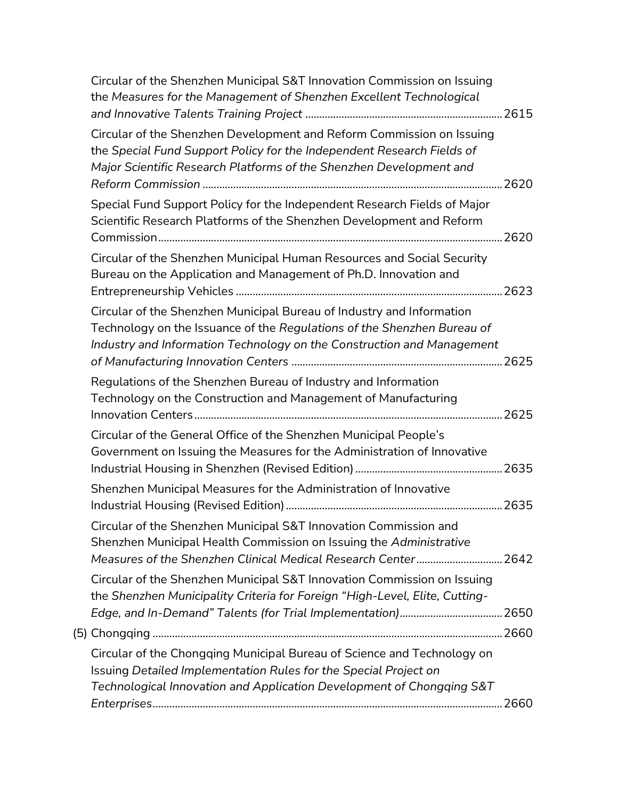| Circular of the Shenzhen Municipal S&T Innovation Commission on Issuing<br>the Measures for the Management of Shenzhen Excellent Technological                                                                             |  |
|----------------------------------------------------------------------------------------------------------------------------------------------------------------------------------------------------------------------------|--|
| Circular of the Shenzhen Development and Reform Commission on Issuing<br>the Special Fund Support Policy for the Independent Research Fields of<br>Major Scientific Research Platforms of the Shenzhen Development and     |  |
| Special Fund Support Policy for the Independent Research Fields of Major<br>Scientific Research Platforms of the Shenzhen Development and Reform                                                                           |  |
| Circular of the Shenzhen Municipal Human Resources and Social Security<br>Bureau on the Application and Management of Ph.D. Innovation and                                                                                 |  |
| Circular of the Shenzhen Municipal Bureau of Industry and Information<br>Technology on the Issuance of the Regulations of the Shenzhen Bureau of<br>Industry and Information Technology on the Construction and Management |  |
| Regulations of the Shenzhen Bureau of Industry and Information<br>Technology on the Construction and Management of Manufacturing                                                                                           |  |
| Circular of the General Office of the Shenzhen Municipal People's<br>Government on Issuing the Measures for the Administration of Innovative                                                                               |  |
| Shenzhen Municipal Measures for the Administration of Innovative                                                                                                                                                           |  |
| Circular of the Shenzhen Municipal S&T Innovation Commission and<br>Shenzhen Municipal Health Commission on Issuing the Administrative<br>Measures of the Shenzhen Clinical Medical Research Center 2642                   |  |
| Circular of the Shenzhen Municipal S&T Innovation Commission on Issuing<br>the Shenzhen Municipality Criteria for Foreign "High-Level, Elite, Cutting-                                                                     |  |
|                                                                                                                                                                                                                            |  |
| Circular of the Chongqing Municipal Bureau of Science and Technology on<br>Issuing Detailed Implementation Rules for the Special Project on                                                                                |  |
| Technological Innovation and Application Development of Chongqing S&T                                                                                                                                                      |  |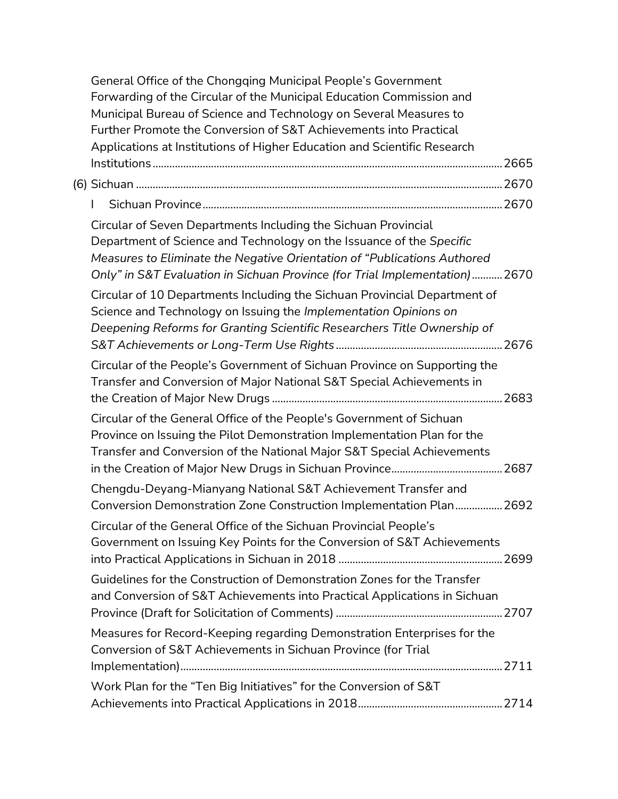| General Office of the Chongqing Municipal People's Government<br>Forwarding of the Circular of the Municipal Education Commission and<br>Municipal Bureau of Science and Technology on Several Measures to<br>Further Promote the Conversion of S&T Achievements into Practical                    |  |
|----------------------------------------------------------------------------------------------------------------------------------------------------------------------------------------------------------------------------------------------------------------------------------------------------|--|
| Applications at Institutions of Higher Education and Scientific Research                                                                                                                                                                                                                           |  |
|                                                                                                                                                                                                                                                                                                    |  |
|                                                                                                                                                                                                                                                                                                    |  |
|                                                                                                                                                                                                                                                                                                    |  |
| Circular of Seven Departments Including the Sichuan Provincial<br>Department of Science and Technology on the Issuance of the Specific<br>Measures to Eliminate the Negative Orientation of "Publications Authored<br>Only" in S&T Evaluation in Sichuan Province (for Trial Implementation)  2670 |  |
| Circular of 10 Departments Including the Sichuan Provincial Department of<br>Science and Technology on Issuing the Implementation Opinions on<br>Deepening Reforms for Granting Scientific Researchers Title Ownership of                                                                          |  |
| Circular of the People's Government of Sichuan Province on Supporting the<br>Transfer and Conversion of Major National S&T Special Achievements in                                                                                                                                                 |  |
| Circular of the General Office of the People's Government of Sichuan<br>Province on Issuing the Pilot Demonstration Implementation Plan for the<br>Transfer and Conversion of the National Major S&T Special Achievements                                                                          |  |
| Chengdu-Deyang-Mianyang National S&T Achievement Transfer and<br>Conversion Demonstration Zone Construction Implementation Plan 2692                                                                                                                                                               |  |
| Circular of the General Office of the Sichuan Provincial People's<br>Government on Issuing Key Points for the Conversion of S&T Achievements                                                                                                                                                       |  |
| Guidelines for the Construction of Demonstration Zones for the Transfer<br>and Conversion of S&T Achievements into Practical Applications in Sichuan                                                                                                                                               |  |
| Measures for Record-Keeping regarding Demonstration Enterprises for the<br>Conversion of S&T Achievements in Sichuan Province (for Trial                                                                                                                                                           |  |
| Work Plan for the "Ten Big Initiatives" for the Conversion of S&T                                                                                                                                                                                                                                  |  |
|                                                                                                                                                                                                                                                                                                    |  |